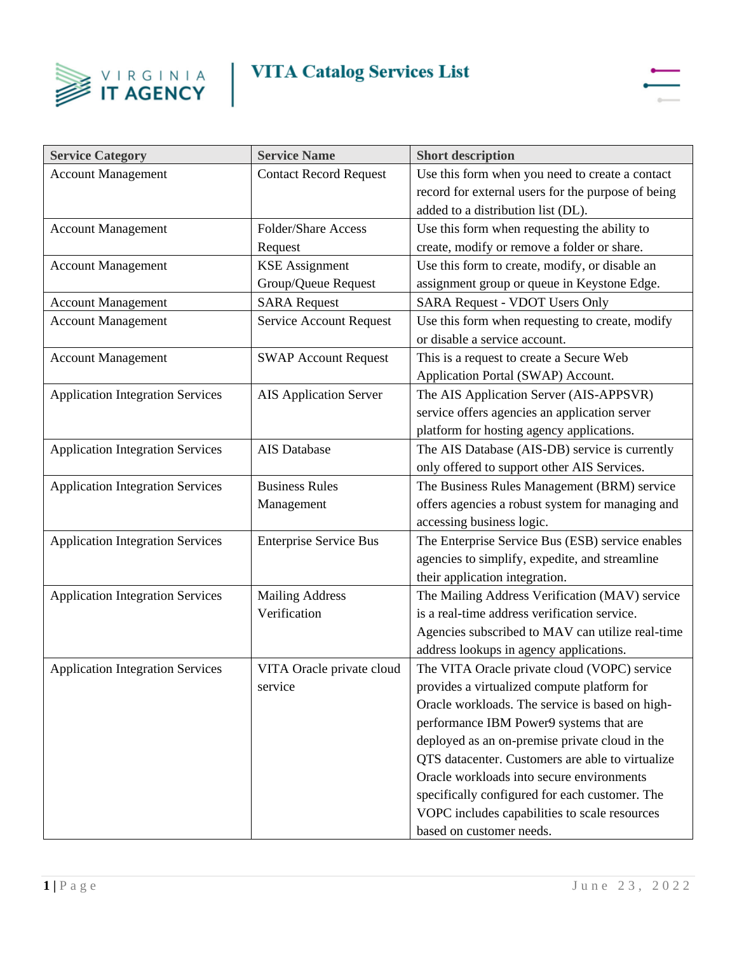



| <b>Service Category</b>                 | <b>Service Name</b>           | <b>Short description</b>                           |
|-----------------------------------------|-------------------------------|----------------------------------------------------|
| <b>Account Management</b>               | <b>Contact Record Request</b> | Use this form when you need to create a contact    |
|                                         |                               | record for external users for the purpose of being |
|                                         |                               | added to a distribution list (DL).                 |
| <b>Account Management</b>               | <b>Folder/Share Access</b>    | Use this form when requesting the ability to       |
|                                         | Request                       | create, modify or remove a folder or share.        |
| <b>Account Management</b>               | <b>KSE</b> Assignment         | Use this form to create, modify, or disable an     |
|                                         | Group/Queue Request           | assignment group or queue in Keystone Edge.        |
| <b>Account Management</b>               | <b>SARA</b> Request           | <b>SARA Request - VDOT Users Only</b>              |
| <b>Account Management</b>               | Service Account Request       | Use this form when requesting to create, modify    |
|                                         |                               | or disable a service account.                      |
| <b>Account Management</b>               | <b>SWAP Account Request</b>   | This is a request to create a Secure Web           |
|                                         |                               | Application Portal (SWAP) Account.                 |
| <b>Application Integration Services</b> | <b>AIS Application Server</b> | The AIS Application Server (AIS-APPSVR)            |
|                                         |                               | service offers agencies an application server      |
|                                         |                               | platform for hosting agency applications.          |
| <b>Application Integration Services</b> | AIS Database                  | The AIS Database (AIS-DB) service is currently     |
|                                         |                               | only offered to support other AIS Services.        |
| <b>Application Integration Services</b> | <b>Business Rules</b>         | The Business Rules Management (BRM) service        |
|                                         | Management                    | offers agencies a robust system for managing and   |
|                                         |                               | accessing business logic.                          |
| <b>Application Integration Services</b> | <b>Enterprise Service Bus</b> | The Enterprise Service Bus (ESB) service enables   |
|                                         |                               | agencies to simplify, expedite, and streamline     |
|                                         |                               | their application integration.                     |
| <b>Application Integration Services</b> | <b>Mailing Address</b>        | The Mailing Address Verification (MAV) service     |
|                                         | Verification                  | is a real-time address verification service.       |
|                                         |                               | Agencies subscribed to MAV can utilize real-time   |
|                                         |                               | address lookups in agency applications.            |
| <b>Application Integration Services</b> | VITA Oracle private cloud     | The VITA Oracle private cloud (VOPC) service       |
|                                         | service                       | provides a virtualized compute platform for        |
|                                         |                               | Oracle workloads. The service is based on high-    |
|                                         |                               | performance IBM Power9 systems that are            |
|                                         |                               | deployed as an on-premise private cloud in the     |
|                                         |                               | QTS datacenter. Customers are able to virtualize   |
|                                         |                               | Oracle workloads into secure environments          |
|                                         |                               | specifically configured for each customer. The     |
|                                         |                               | VOPC includes capabilities to scale resources      |
|                                         |                               | based on customer needs.                           |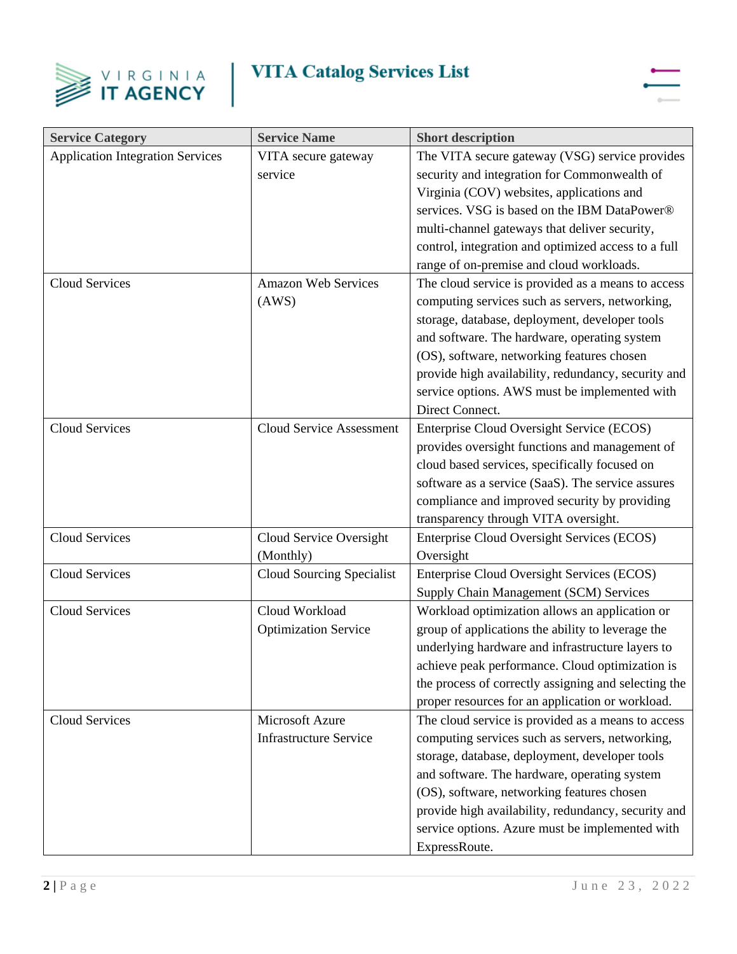



| <b>Service Category</b>                 | <b>Service Name</b>              | <b>Short description</b>                             |
|-----------------------------------------|----------------------------------|------------------------------------------------------|
| <b>Application Integration Services</b> | VITA secure gateway              | The VITA secure gateway (VSG) service provides       |
|                                         | service                          | security and integration for Commonwealth of         |
|                                         |                                  | Virginia (COV) websites, applications and            |
|                                         |                                  | services. VSG is based on the IBM DataPower®         |
|                                         |                                  | multi-channel gateways that deliver security,        |
|                                         |                                  | control, integration and optimized access to a full  |
|                                         |                                  | range of on-premise and cloud workloads.             |
| <b>Cloud Services</b>                   | <b>Amazon Web Services</b>       | The cloud service is provided as a means to access   |
|                                         | (AWS)                            | computing services such as servers, networking,      |
|                                         |                                  | storage, database, deployment, developer tools       |
|                                         |                                  | and software. The hardware, operating system         |
|                                         |                                  | (OS), software, networking features chosen           |
|                                         |                                  | provide high availability, redundancy, security and  |
|                                         |                                  | service options. AWS must be implemented with        |
|                                         |                                  | Direct Connect.                                      |
| <b>Cloud Services</b>                   | <b>Cloud Service Assessment</b>  | Enterprise Cloud Oversight Service (ECOS)            |
|                                         |                                  | provides oversight functions and management of       |
|                                         |                                  | cloud based services, specifically focused on        |
|                                         |                                  | software as a service (SaaS). The service assures    |
|                                         |                                  | compliance and improved security by providing        |
|                                         |                                  | transparency through VITA oversight.                 |
| <b>Cloud Services</b>                   | Cloud Service Oversight          | Enterprise Cloud Oversight Services (ECOS)           |
|                                         | (Monthly)                        | Oversight                                            |
| Cloud Services                          | <b>Cloud Sourcing Specialist</b> | Enterprise Cloud Oversight Services (ECOS)           |
|                                         |                                  | Supply Chain Management (SCM) Services               |
| <b>Cloud Services</b>                   | Cloud Workload                   | Workload optimization allows an application or       |
|                                         | <b>Optimization Service</b>      | group of applications the ability to leverage the    |
|                                         |                                  | underlying hardware and infrastructure layers to     |
|                                         |                                  | achieve peak performance. Cloud optimization is      |
|                                         |                                  | the process of correctly assigning and selecting the |
|                                         |                                  | proper resources for an application or workload.     |
| Cloud Services                          | Microsoft Azure                  | The cloud service is provided as a means to access   |
|                                         | <b>Infrastructure Service</b>    | computing services such as servers, networking,      |
|                                         |                                  | storage, database, deployment, developer tools       |
|                                         |                                  | and software. The hardware, operating system         |
|                                         |                                  | (OS), software, networking features chosen           |
|                                         |                                  | provide high availability, redundancy, security and  |
|                                         |                                  | service options. Azure must be implemented with      |
|                                         |                                  | ExpressRoute.                                        |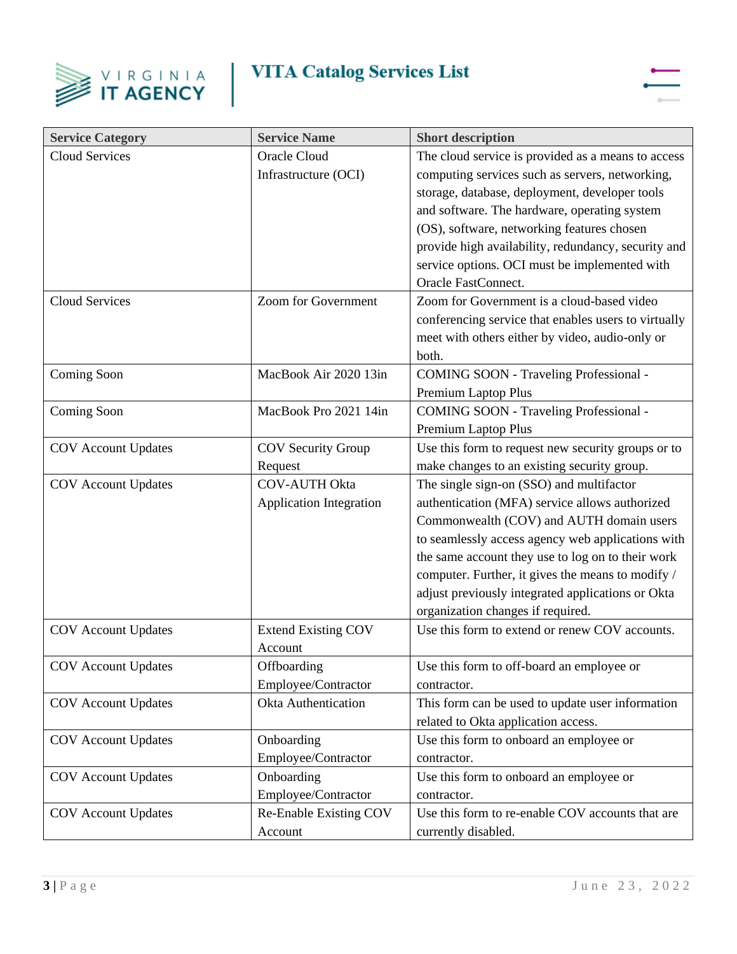



| <b>Service Category</b>    | <b>Service Name</b>            | <b>Short description</b>                             |
|----------------------------|--------------------------------|------------------------------------------------------|
| <b>Cloud Services</b>      | <b>Oracle Cloud</b>            | The cloud service is provided as a means to access   |
|                            | Infrastructure (OCI)           | computing services such as servers, networking,      |
|                            |                                | storage, database, deployment, developer tools       |
|                            |                                | and software. The hardware, operating system         |
|                            |                                | (OS), software, networking features chosen           |
|                            |                                | provide high availability, redundancy, security and  |
|                            |                                | service options. OCI must be implemented with        |
|                            |                                | Oracle FastConnect.                                  |
| <b>Cloud Services</b>      | Zoom for Government            | Zoom for Government is a cloud-based video           |
|                            |                                | conferencing service that enables users to virtually |
|                            |                                | meet with others either by video, audio-only or      |
|                            |                                | both.                                                |
| Coming Soon                | MacBook Air 2020 13in          | <b>COMING SOON - Traveling Professional -</b>        |
|                            |                                | Premium Laptop Plus                                  |
| Coming Soon                | MacBook Pro 2021 14in          | <b>COMING SOON - Traveling Professional -</b>        |
|                            |                                | Premium Laptop Plus                                  |
| <b>COV</b> Account Updates | <b>COV Security Group</b>      | Use this form to request new security groups or to   |
|                            | Request                        | make changes to an existing security group.          |
| <b>COV</b> Account Updates | <b>COV-AUTH Okta</b>           | The single sign-on (SSO) and multifactor             |
|                            | <b>Application Integration</b> | authentication (MFA) service allows authorized       |
|                            |                                | Commonwealth (COV) and AUTH domain users             |
|                            |                                | to seamlessly access agency web applications with    |
|                            |                                | the same account they use to log on to their work    |
|                            |                                | computer. Further, it gives the means to modify /    |
|                            |                                | adjust previously integrated applications or Okta    |
|                            |                                | organization changes if required.                    |
| <b>COV</b> Account Updates | <b>Extend Existing COV</b>     | Use this form to extend or renew COV accounts.       |
|                            | Account                        |                                                      |
| <b>COV</b> Account Updates | Offboarding                    | Use this form to off-board an employee or            |
|                            | Employee/Contractor            | contractor.                                          |
| <b>COV</b> Account Updates | <b>Okta Authentication</b>     | This form can be used to update user information     |
|                            |                                | related to Okta application access.                  |
| <b>COV</b> Account Updates | Onboarding                     | Use this form to onboard an employee or              |
|                            | Employee/Contractor            | contractor.                                          |
| <b>COV</b> Account Updates | Onboarding                     | Use this form to onboard an employee or              |
|                            | Employee/Contractor            | contractor.                                          |
| <b>COV</b> Account Updates | Re-Enable Existing COV         | Use this form to re-enable COV accounts that are     |
|                            | Account                        | currently disabled.                                  |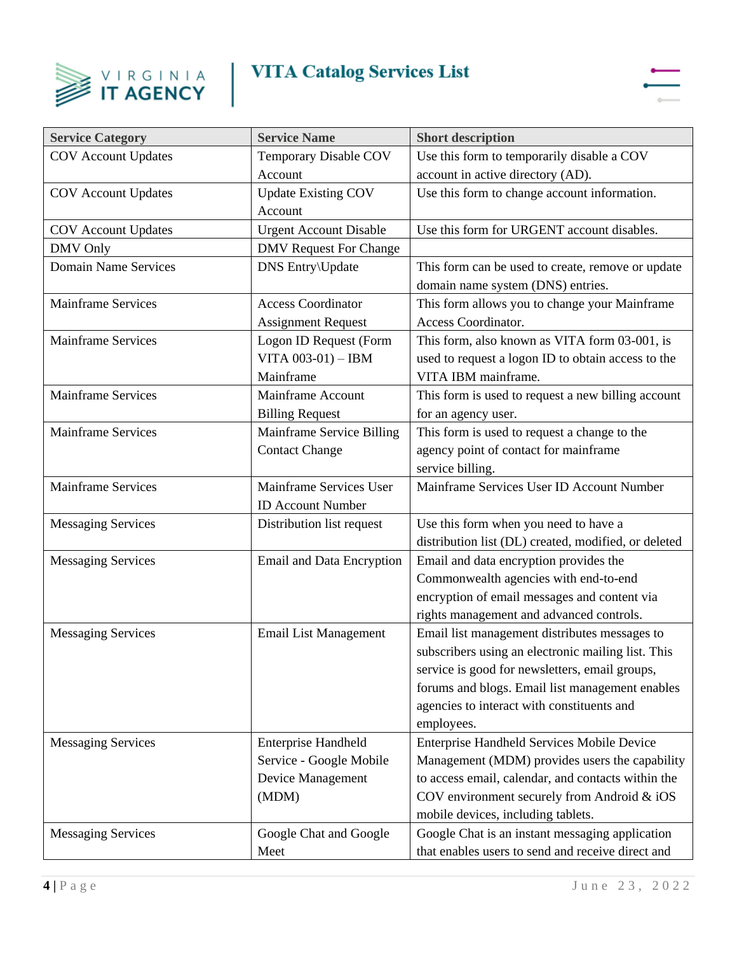



| <b>Service Category</b>     | <b>Service Name</b>                                                                 | <b>Short description</b>                                                                                                                                                                                                                                             |
|-----------------------------|-------------------------------------------------------------------------------------|----------------------------------------------------------------------------------------------------------------------------------------------------------------------------------------------------------------------------------------------------------------------|
| <b>COV</b> Account Updates  | Temporary Disable COV                                                               | Use this form to temporarily disable a COV                                                                                                                                                                                                                           |
|                             | Account                                                                             | account in active directory (AD).                                                                                                                                                                                                                                    |
| <b>COV</b> Account Updates  | <b>Update Existing COV</b><br>Account                                               | Use this form to change account information.                                                                                                                                                                                                                         |
| <b>COV</b> Account Updates  | <b>Urgent Account Disable</b>                                                       | Use this form for URGENT account disables.                                                                                                                                                                                                                           |
| <b>DMV</b> Only             | <b>DMV</b> Request For Change                                                       |                                                                                                                                                                                                                                                                      |
| <b>Domain Name Services</b> | <b>DNS</b> Entry\Update                                                             | This form can be used to create, remove or update<br>domain name system (DNS) entries.                                                                                                                                                                               |
| <b>Mainframe Services</b>   | <b>Access Coordinator</b><br><b>Assignment Request</b>                              | This form allows you to change your Mainframe<br>Access Coordinator.                                                                                                                                                                                                 |
| <b>Mainframe Services</b>   | Logon ID Request (Form<br>VITA $003-01$ ) - IBM<br>Mainframe                        | This form, also known as VITA form 03-001, is<br>used to request a logon ID to obtain access to the<br>VITA IBM mainframe.                                                                                                                                           |
| <b>Mainframe Services</b>   | Mainframe Account<br><b>Billing Request</b>                                         | This form is used to request a new billing account<br>for an agency user.                                                                                                                                                                                            |
| <b>Mainframe Services</b>   | Mainframe Service Billing<br><b>Contact Change</b>                                  | This form is used to request a change to the<br>agency point of contact for mainframe<br>service billing.                                                                                                                                                            |
| <b>Mainframe Services</b>   | Mainframe Services User<br><b>ID Account Number</b>                                 | Mainframe Services User ID Account Number                                                                                                                                                                                                                            |
| <b>Messaging Services</b>   | Distribution list request                                                           | Use this form when you need to have a<br>distribution list (DL) created, modified, or deleted                                                                                                                                                                        |
| <b>Messaging Services</b>   | <b>Email and Data Encryption</b>                                                    | Email and data encryption provides the<br>Commonwealth agencies with end-to-end<br>encryption of email messages and content via<br>rights management and advanced controls.                                                                                          |
| <b>Messaging Services</b>   | <b>Email List Management</b>                                                        | Email list management distributes messages to<br>subscribers using an electronic mailing list. This<br>service is good for newsletters, email groups,<br>forums and blogs. Email list management enables<br>agencies to interact with constituents and<br>employees. |
| <b>Messaging Services</b>   | <b>Enterprise Handheld</b><br>Service - Google Mobile<br>Device Management<br>(MDM) | <b>Enterprise Handheld Services Mobile Device</b><br>Management (MDM) provides users the capability<br>to access email, calendar, and contacts within the<br>COV environment securely from Android & iOS<br>mobile devices, including tablets.                       |
| <b>Messaging Services</b>   | Google Chat and Google<br>Meet                                                      | Google Chat is an instant messaging application<br>that enables users to send and receive direct and                                                                                                                                                                 |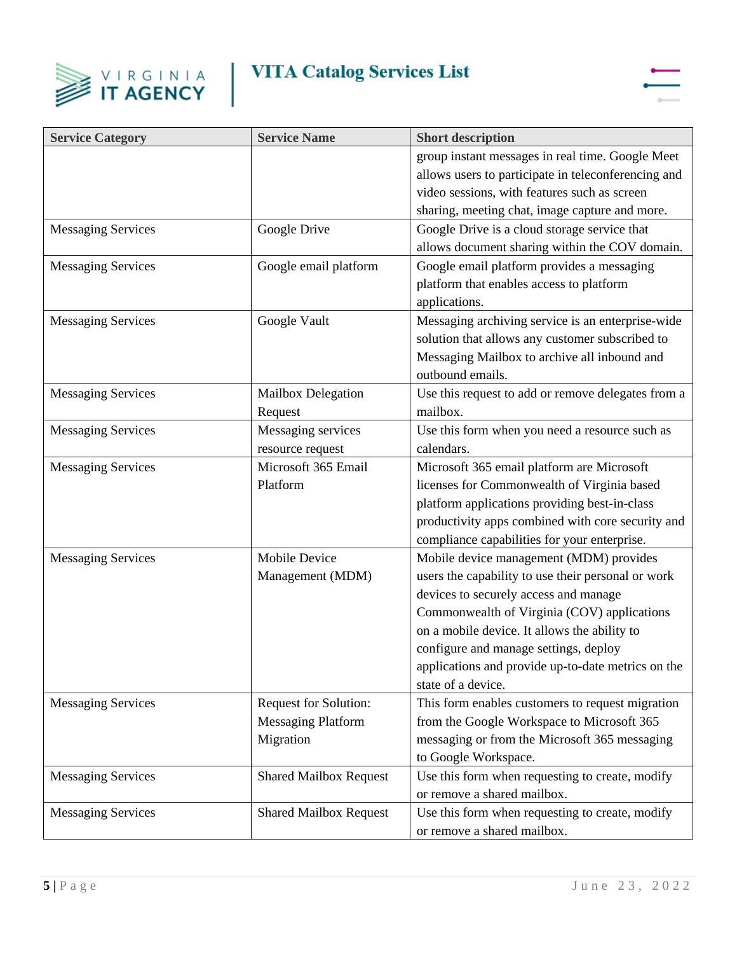



| <b>Service Category</b>   | <b>Service Name</b>           | <b>Short description</b>                            |
|---------------------------|-------------------------------|-----------------------------------------------------|
|                           |                               | group instant messages in real time. Google Meet    |
|                           |                               | allows users to participate in teleconferencing and |
|                           |                               | video sessions, with features such as screen        |
|                           |                               | sharing, meeting chat, image capture and more.      |
| <b>Messaging Services</b> | Google Drive                  | Google Drive is a cloud storage service that        |
|                           |                               | allows document sharing within the COV domain.      |
| <b>Messaging Services</b> | Google email platform         | Google email platform provides a messaging          |
|                           |                               | platform that enables access to platform            |
|                           |                               | applications.                                       |
| <b>Messaging Services</b> | Google Vault                  | Messaging archiving service is an enterprise-wide   |
|                           |                               | solution that allows any customer subscribed to     |
|                           |                               | Messaging Mailbox to archive all inbound and        |
|                           |                               | outbound emails.                                    |
| <b>Messaging Services</b> | Mailbox Delegation            | Use this request to add or remove delegates from a  |
|                           | Request                       | mailbox.                                            |
| <b>Messaging Services</b> | Messaging services            | Use this form when you need a resource such as      |
|                           | resource request              | calendars.                                          |
| <b>Messaging Services</b> | Microsoft 365 Email           | Microsoft 365 email platform are Microsoft          |
|                           | Platform                      | licenses for Commonwealth of Virginia based         |
|                           |                               | platform applications providing best-in-class       |
|                           |                               | productivity apps combined with core security and   |
|                           |                               | compliance capabilities for your enterprise.        |
| <b>Messaging Services</b> | <b>Mobile Device</b>          | Mobile device management (MDM) provides             |
|                           | Management (MDM)              | users the capability to use their personal or work  |
|                           |                               | devices to securely access and manage               |
|                           |                               | Commonwealth of Virginia (COV) applications         |
|                           |                               | on a mobile device. It allows the ability to        |
|                           |                               | configure and manage settings, deploy               |
|                           |                               | applications and provide up-to-date metrics on the  |
|                           |                               | state of a device.                                  |
| <b>Messaging Services</b> | <b>Request for Solution:</b>  | This form enables customers to request migration    |
|                           | <b>Messaging Platform</b>     | from the Google Workspace to Microsoft 365          |
|                           | Migration                     | messaging or from the Microsoft 365 messaging       |
|                           |                               | to Google Workspace.                                |
| <b>Messaging Services</b> | <b>Shared Mailbox Request</b> | Use this form when requesting to create, modify     |
|                           |                               | or remove a shared mailbox.                         |
| <b>Messaging Services</b> | <b>Shared Mailbox Request</b> | Use this form when requesting to create, modify     |
|                           |                               | or remove a shared mailbox.                         |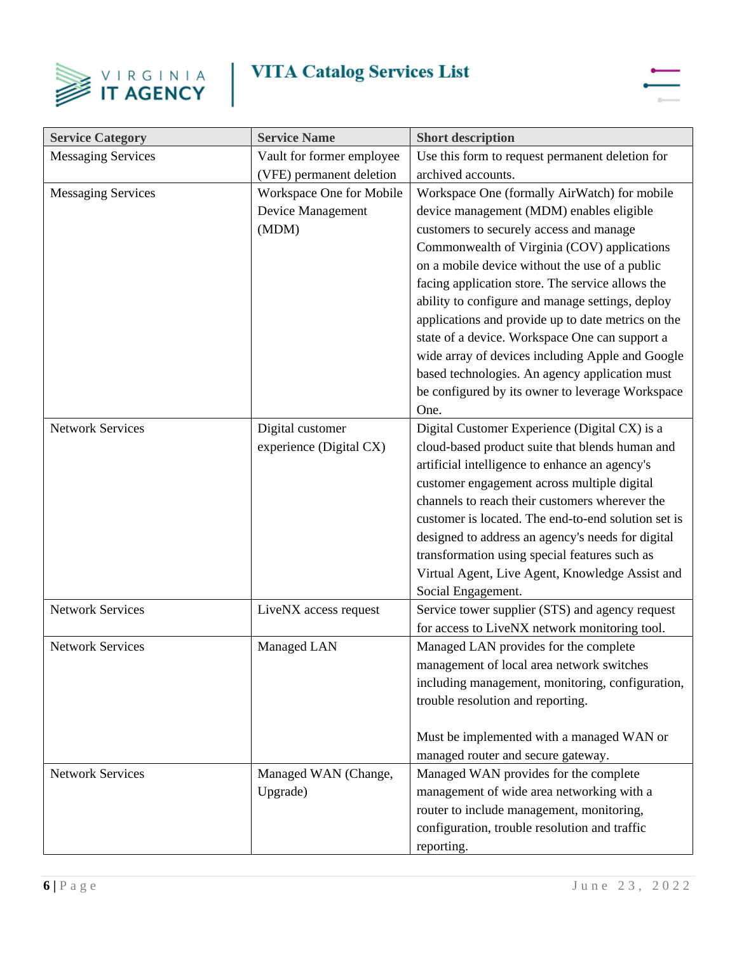



| <b>Service Category</b>   | <b>Service Name</b>       | <b>Short description</b>                            |
|---------------------------|---------------------------|-----------------------------------------------------|
| <b>Messaging Services</b> | Vault for former employee | Use this form to request permanent deletion for     |
|                           | (VFE) permanent deletion  | archived accounts.                                  |
| <b>Messaging Services</b> | Workspace One for Mobile  | Workspace One (formally AirWatch) for mobile        |
|                           | Device Management         | device management (MDM) enables eligible            |
|                           | (MDM)                     | customers to securely access and manage             |
|                           |                           | Commonwealth of Virginia (COV) applications         |
|                           |                           | on a mobile device without the use of a public      |
|                           |                           | facing application store. The service allows the    |
|                           |                           | ability to configure and manage settings, deploy    |
|                           |                           | applications and provide up to date metrics on the  |
|                           |                           | state of a device. Workspace One can support a      |
|                           |                           | wide array of devices including Apple and Google    |
|                           |                           | based technologies. An agency application must      |
|                           |                           | be configured by its owner to leverage Workspace    |
|                           |                           | One.                                                |
| <b>Network Services</b>   | Digital customer          | Digital Customer Experience (Digital CX) is a       |
|                           | experience (Digital CX)   | cloud-based product suite that blends human and     |
|                           |                           | artificial intelligence to enhance an agency's      |
|                           |                           | customer engagement across multiple digital         |
|                           |                           | channels to reach their customers wherever the      |
|                           |                           | customer is located. The end-to-end solution set is |
|                           |                           | designed to address an agency's needs for digital   |
|                           |                           | transformation using special features such as       |
|                           |                           | Virtual Agent, Live Agent, Knowledge Assist and     |
|                           |                           | Social Engagement.                                  |
| <b>Network Services</b>   | LiveNX access request     | Service tower supplier (STS) and agency request     |
|                           |                           | for access to LiveNX network monitoring tool.       |
| <b>Network Services</b>   | Managed LAN               | Managed LAN provides for the complete               |
|                           |                           | management of local area network switches           |
|                           |                           | including management, monitoring, configuration,    |
|                           |                           | trouble resolution and reporting.                   |
|                           |                           |                                                     |
|                           |                           | Must be implemented with a managed WAN or           |
|                           |                           | managed router and secure gateway.                  |
| <b>Network Services</b>   | Managed WAN (Change,      | Managed WAN provides for the complete               |
|                           | Upgrade)                  | management of wide area networking with a           |
|                           |                           | router to include management, monitoring,           |
|                           |                           | configuration, trouble resolution and traffic       |
|                           |                           | reporting.                                          |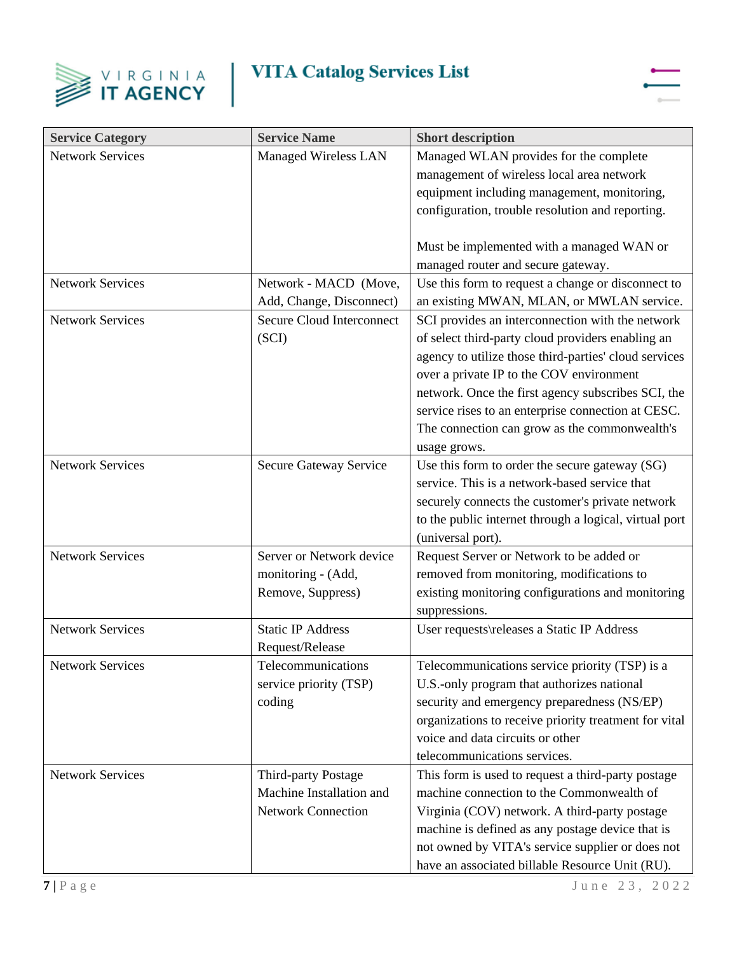



| <b>Service Category</b> | <b>Service Name</b>              | <b>Short description</b>                               |
|-------------------------|----------------------------------|--------------------------------------------------------|
| <b>Network Services</b> | Managed Wireless LAN             | Managed WLAN provides for the complete                 |
|                         |                                  | management of wireless local area network              |
|                         |                                  | equipment including management, monitoring,            |
|                         |                                  | configuration, trouble resolution and reporting.       |
|                         |                                  |                                                        |
|                         |                                  | Must be implemented with a managed WAN or              |
|                         |                                  | managed router and secure gateway.                     |
| <b>Network Services</b> | Network - MACD (Move,            | Use this form to request a change or disconnect to     |
|                         | Add, Change, Disconnect)         | an existing MWAN, MLAN, or MWLAN service.              |
| <b>Network Services</b> | <b>Secure Cloud Interconnect</b> | SCI provides an interconnection with the network       |
|                         | (SCI)                            | of select third-party cloud providers enabling an      |
|                         |                                  | agency to utilize those third-parties' cloud services  |
|                         |                                  | over a private IP to the COV environment               |
|                         |                                  | network. Once the first agency subscribes SCI, the     |
|                         |                                  | service rises to an enterprise connection at CESC.     |
|                         |                                  | The connection can grow as the commonwealth's          |
|                         |                                  | usage grows.                                           |
| <b>Network Services</b> | Secure Gateway Service           | Use this form to order the secure gateway (SG)         |
|                         |                                  | service. This is a network-based service that          |
|                         |                                  | securely connects the customer's private network       |
|                         |                                  | to the public internet through a logical, virtual port |
|                         |                                  | (universal port).                                      |
| <b>Network Services</b> | Server or Network device         | Request Server or Network to be added or               |
|                         | monitoring - (Add,               | removed from monitoring, modifications to              |
|                         | Remove, Suppress)                | existing monitoring configurations and monitoring      |
|                         |                                  | suppressions.                                          |
| <b>Network Services</b> | <b>Static IP Address</b>         | User requests\releases a Static IP Address             |
|                         | Request/Release                  |                                                        |
| <b>Network Services</b> | Telecommunications               | Telecommunications service priority (TSP) is a         |
|                         | service priority (TSP)           | U.S.-only program that authorizes national             |
|                         | coding                           | security and emergency preparedness (NS/EP)            |
|                         |                                  | organizations to receive priority treatment for vital  |
|                         |                                  | voice and data circuits or other                       |
|                         |                                  | telecommunications services.                           |
| <b>Network Services</b> | Third-party Postage              | This form is used to request a third-party postage     |
|                         | Machine Installation and         | machine connection to the Commonwealth of              |
|                         | <b>Network Connection</b>        | Virginia (COV) network. A third-party postage          |
|                         |                                  | machine is defined as any postage device that is       |
|                         |                                  | not owned by VITA's service supplier or does not       |
|                         |                                  | have an associated billable Resource Unit (RU).        |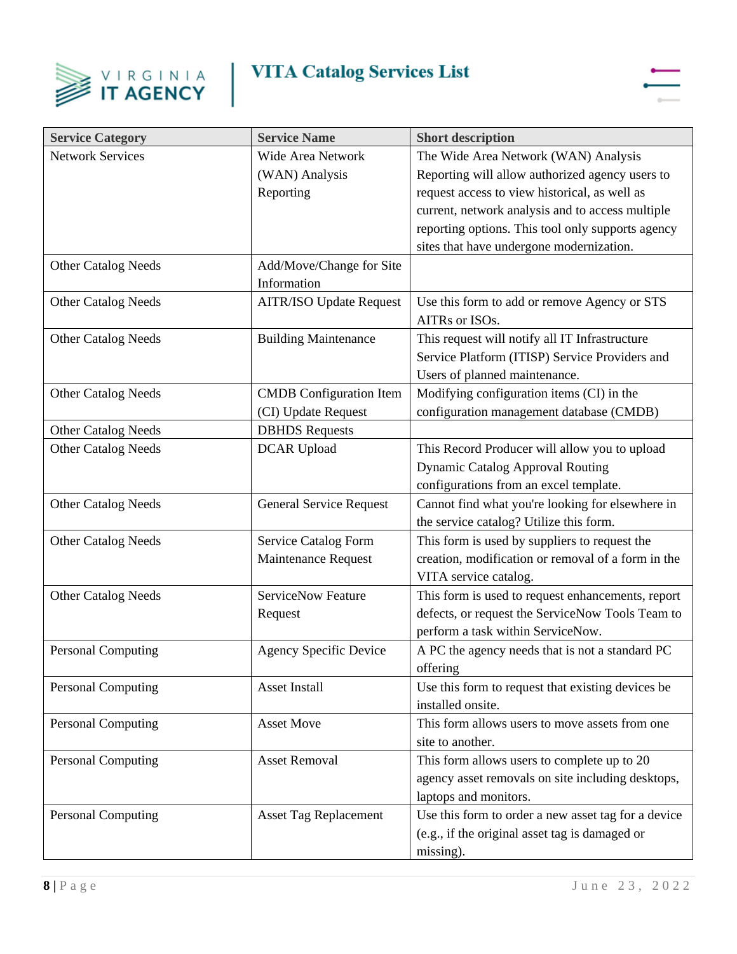



| <b>Service Category</b>    | <b>Service Name</b>            | <b>Short description</b>                            |
|----------------------------|--------------------------------|-----------------------------------------------------|
| <b>Network Services</b>    | Wide Area Network              | The Wide Area Network (WAN) Analysis                |
|                            | (WAN) Analysis                 | Reporting will allow authorized agency users to     |
|                            | Reporting                      | request access to view historical, as well as       |
|                            |                                | current, network analysis and to access multiple    |
|                            |                                | reporting options. This tool only supports agency   |
|                            |                                | sites that have undergone modernization.            |
| <b>Other Catalog Needs</b> | Add/Move/Change for Site       |                                                     |
|                            | Information                    |                                                     |
| <b>Other Catalog Needs</b> | <b>AITR/ISO Update Request</b> | Use this form to add or remove Agency or STS        |
|                            |                                | AITRs or ISOs.                                      |
| <b>Other Catalog Needs</b> | <b>Building Maintenance</b>    | This request will notify all IT Infrastructure      |
|                            |                                | Service Platform (ITISP) Service Providers and      |
|                            |                                | Users of planned maintenance.                       |
| <b>Other Catalog Needs</b> | <b>CMDB</b> Configuration Item | Modifying configuration items (CI) in the           |
|                            | (CI) Update Request            | configuration management database (CMDB)            |
| <b>Other Catalog Needs</b> | <b>DBHDS</b> Requests          |                                                     |
| <b>Other Catalog Needs</b> | <b>DCAR</b> Upload             | This Record Producer will allow you to upload       |
|                            |                                | <b>Dynamic Catalog Approval Routing</b>             |
|                            |                                | configurations from an excel template.              |
| <b>Other Catalog Needs</b> | <b>General Service Request</b> | Cannot find what you're looking for elsewhere in    |
|                            |                                | the service catalog? Utilize this form.             |
| <b>Other Catalog Needs</b> | Service Catalog Form           | This form is used by suppliers to request the       |
|                            | Maintenance Request            | creation, modification or removal of a form in the  |
|                            |                                | VITA service catalog.                               |
| <b>Other Catalog Needs</b> | <b>ServiceNow Feature</b>      | This form is used to request enhancements, report   |
|                            | Request                        | defects, or request the ServiceNow Tools Team to    |
|                            |                                | perform a task within ServiceNow.                   |
| <b>Personal Computing</b>  | <b>Agency Specific Device</b>  | A PC the agency needs that is not a standard PC     |
|                            |                                | offering                                            |
| <b>Personal Computing</b>  | Asset Install                  | Use this form to request that existing devices be   |
|                            |                                | installed onsite.                                   |
| <b>Personal Computing</b>  | <b>Asset Move</b>              | This form allows users to move assets from one      |
|                            |                                | site to another.                                    |
| Personal Computing         | <b>Asset Removal</b>           | This form allows users to complete up to 20         |
|                            |                                | agency asset removals on site including desktops,   |
|                            |                                | laptops and monitors.                               |
| <b>Personal Computing</b>  | <b>Asset Tag Replacement</b>   | Use this form to order a new asset tag for a device |
|                            |                                | (e.g., if the original asset tag is damaged or      |
|                            |                                | missing).                                           |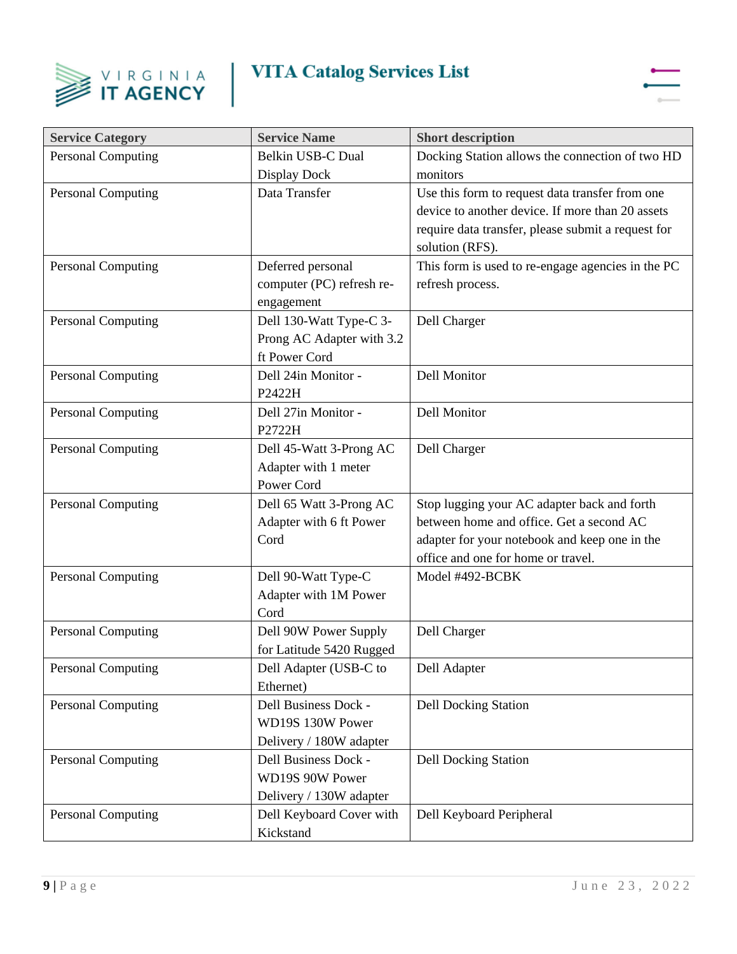



| <b>Service Category</b>   | <b>Service Name</b>       | <b>Short description</b>                           |
|---------------------------|---------------------------|----------------------------------------------------|
| <b>Personal Computing</b> | Belkin USB-C Dual         | Docking Station allows the connection of two HD    |
|                           | Display Dock              | monitors                                           |
| <b>Personal Computing</b> | Data Transfer             | Use this form to request data transfer from one    |
|                           |                           | device to another device. If more than 20 assets   |
|                           |                           | require data transfer, please submit a request for |
|                           |                           | solution (RFS).                                    |
| <b>Personal Computing</b> | Deferred personal         | This form is used to re-engage agencies in the PC  |
|                           | computer (PC) refresh re- | refresh process.                                   |
|                           | engagement                |                                                    |
| <b>Personal Computing</b> | Dell 130-Watt Type-C 3-   | Dell Charger                                       |
|                           | Prong AC Adapter with 3.2 |                                                    |
|                           | ft Power Cord             |                                                    |
| <b>Personal Computing</b> | Dell 24in Monitor -       | <b>Dell Monitor</b>                                |
|                           | P2422H                    |                                                    |
| <b>Personal Computing</b> | Dell 27in Monitor -       | Dell Monitor                                       |
|                           | P2722H                    |                                                    |
| <b>Personal Computing</b> | Dell 45-Watt 3-Prong AC   | Dell Charger                                       |
|                           | Adapter with 1 meter      |                                                    |
|                           | Power Cord                |                                                    |
| <b>Personal Computing</b> | Dell 65 Watt 3-Prong AC   | Stop lugging your AC adapter back and forth        |
|                           | Adapter with 6 ft Power   | between home and office. Get a second AC           |
|                           | Cord                      | adapter for your notebook and keep one in the      |
|                           |                           | office and one for home or travel.                 |
| <b>Personal Computing</b> | Dell 90-Watt Type-C       | Model #492-BCBK                                    |
|                           | Adapter with 1M Power     |                                                    |
|                           | Cord                      |                                                    |
| <b>Personal Computing</b> | Dell 90W Power Supply     | Dell Charger                                       |
|                           | for Latitude 5420 Rugged  |                                                    |
| <b>Personal Computing</b> | Dell Adapter (USB-C to    | Dell Adapter                                       |
|                           | Ethernet)                 |                                                    |
| <b>Personal Computing</b> | Dell Business Dock -      | <b>Dell Docking Station</b>                        |
|                           | WD19S 130W Power          |                                                    |
|                           | Delivery / 180W adapter   |                                                    |
| <b>Personal Computing</b> | Dell Business Dock -      | <b>Dell Docking Station</b>                        |
|                           | WD19S 90W Power           |                                                    |
|                           | Delivery / 130W adapter   |                                                    |
| <b>Personal Computing</b> | Dell Keyboard Cover with  | Dell Keyboard Peripheral                           |
|                           | Kickstand                 |                                                    |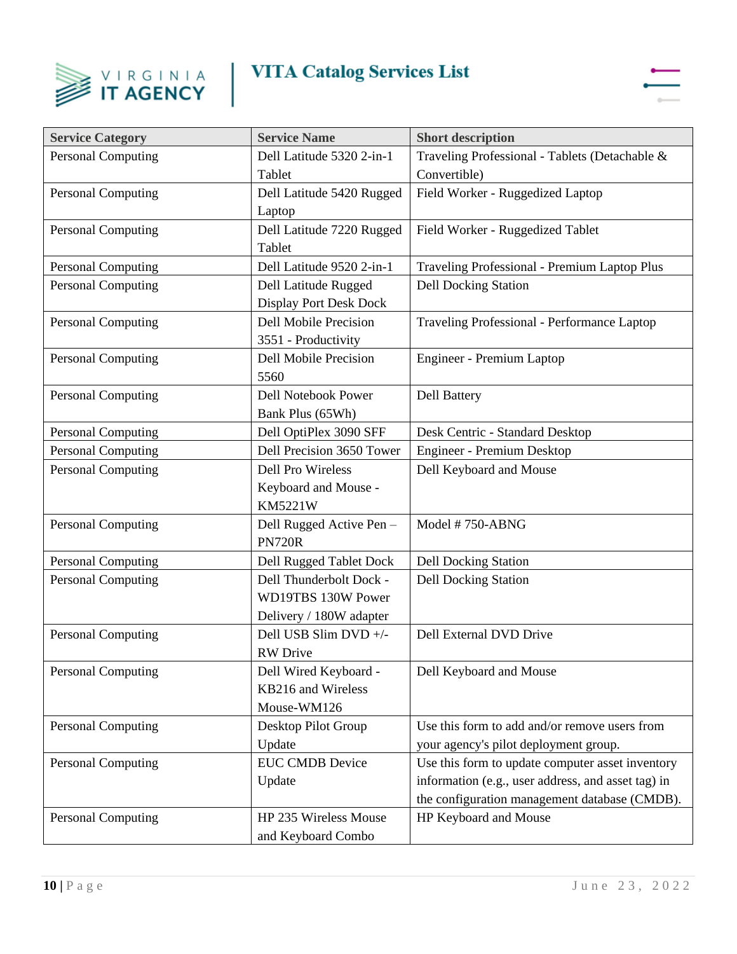



| <b>Service Category</b>   | <b>Service Name</b>           | <b>Short description</b>                           |
|---------------------------|-------------------------------|----------------------------------------------------|
| <b>Personal Computing</b> | Dell Latitude 5320 2-in-1     | Traveling Professional - Tablets (Detachable &     |
|                           | Tablet                        | Convertible)                                       |
| <b>Personal Computing</b> | Dell Latitude 5420 Rugged     | Field Worker - Ruggedized Laptop                   |
|                           | Laptop                        |                                                    |
| <b>Personal Computing</b> | Dell Latitude 7220 Rugged     | Field Worker - Ruggedized Tablet                   |
|                           | Tablet                        |                                                    |
| <b>Personal Computing</b> | Dell Latitude 9520 2-in-1     | Traveling Professional - Premium Laptop Plus       |
| <b>Personal Computing</b> | Dell Latitude Rugged          | <b>Dell Docking Station</b>                        |
|                           | <b>Display Port Desk Dock</b> |                                                    |
| <b>Personal Computing</b> | <b>Dell Mobile Precision</b>  | Traveling Professional - Performance Laptop        |
|                           | 3551 - Productivity           |                                                    |
| Personal Computing        | <b>Dell Mobile Precision</b>  | Engineer - Premium Laptop                          |
|                           | 5560                          |                                                    |
| <b>Personal Computing</b> | <b>Dell Notebook Power</b>    | <b>Dell Battery</b>                                |
|                           | Bank Plus (65Wh)              |                                                    |
| <b>Personal Computing</b> | Dell OptiPlex 3090 SFF        | Desk Centric - Standard Desktop                    |
| <b>Personal Computing</b> | Dell Precision 3650 Tower     | Engineer - Premium Desktop                         |
| <b>Personal Computing</b> | <b>Dell Pro Wireless</b>      | Dell Keyboard and Mouse                            |
|                           | Keyboard and Mouse -          |                                                    |
|                           | <b>KM5221W</b>                |                                                    |
| <b>Personal Computing</b> | Dell Rugged Active Pen-       | Model #750-ABNG                                    |
|                           | <b>PN720R</b>                 |                                                    |
| <b>Personal Computing</b> | Dell Rugged Tablet Dock       | <b>Dell Docking Station</b>                        |
| <b>Personal Computing</b> | Dell Thunderbolt Dock -       | <b>Dell Docking Station</b>                        |
|                           | WD19TBS 130W Power            |                                                    |
|                           | Delivery / 180W adapter       |                                                    |
| <b>Personal Computing</b> | Dell USB Slim DVD +/-         | Dell External DVD Drive                            |
|                           | <b>RW</b> Drive               |                                                    |
| <b>Personal Computing</b> | Dell Wired Keyboard -         | Dell Keyboard and Mouse                            |
|                           | KB216 and Wireless            |                                                    |
|                           | Mouse-WM126                   |                                                    |
| <b>Personal Computing</b> | Desktop Pilot Group           | Use this form to add and/or remove users from      |
|                           | Update                        | your agency's pilot deployment group.              |
| Personal Computing        | <b>EUC CMDB Device</b>        | Use this form to update computer asset inventory   |
|                           | Update                        | information (e.g., user address, and asset tag) in |
|                           |                               | the configuration management database (CMDB).      |
| <b>Personal Computing</b> | HP 235 Wireless Mouse         | HP Keyboard and Mouse                              |
|                           | and Keyboard Combo            |                                                    |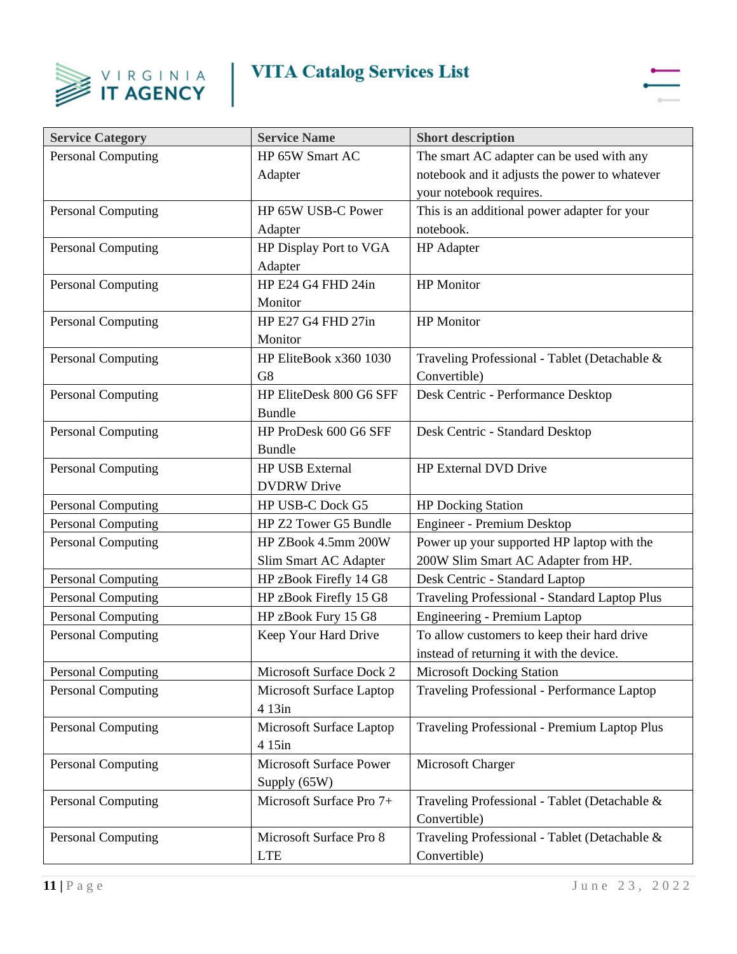



| <b>Service Category</b>   | <b>Service Name</b>      | <b>Short description</b>                      |
|---------------------------|--------------------------|-----------------------------------------------|
| <b>Personal Computing</b> | HP 65W Smart AC          | The smart AC adapter can be used with any     |
|                           | Adapter                  | notebook and it adjusts the power to whatever |
|                           |                          | your notebook requires.                       |
| <b>Personal Computing</b> | HP 65W USB-C Power       | This is an additional power adapter for your  |
|                           | Adapter                  | notebook.                                     |
| <b>Personal Computing</b> | HP Display Port to VGA   | <b>HP</b> Adapter                             |
|                           | Adapter                  |                                               |
| <b>Personal Computing</b> | HP E24 G4 FHD 24in       | <b>HP</b> Monitor                             |
|                           | Monitor                  |                                               |
| <b>Personal Computing</b> | HP E27 G4 FHD 27in       | <b>HP</b> Monitor                             |
|                           | Monitor                  |                                               |
| <b>Personal Computing</b> | HP EliteBook x360 1030   | Traveling Professional - Tablet (Detachable & |
|                           | G8                       | Convertible)                                  |
| <b>Personal Computing</b> | HP EliteDesk 800 G6 SFF  | Desk Centric - Performance Desktop            |
|                           | <b>Bundle</b>            |                                               |
| <b>Personal Computing</b> | HP ProDesk 600 G6 SFF    | Desk Centric - Standard Desktop               |
|                           | <b>Bundle</b>            |                                               |
| <b>Personal Computing</b> | <b>HP USB External</b>   | <b>HP External DVD Drive</b>                  |
|                           | <b>DVDRW</b> Drive       |                                               |
| <b>Personal Computing</b> | HP USB-C Dock G5         | <b>HP Docking Station</b>                     |
| <b>Personal Computing</b> | HP Z2 Tower G5 Bundle    | Engineer - Premium Desktop                    |
| <b>Personal Computing</b> | HP ZBook 4.5mm 200W      | Power up your supported HP laptop with the    |
|                           | Slim Smart AC Adapter    | 200W Slim Smart AC Adapter from HP.           |
| <b>Personal Computing</b> | HP zBook Firefly 14 G8   | Desk Centric - Standard Laptop                |
| <b>Personal Computing</b> | HP zBook Firefly 15 G8   | Traveling Professional - Standard Laptop Plus |
| <b>Personal Computing</b> | HP zBook Fury 15 G8      | Engineering - Premium Laptop                  |
| <b>Personal Computing</b> | Keep Your Hard Drive     | To allow customers to keep their hard drive   |
|                           |                          | instead of returning it with the device.      |
| <b>Personal Computing</b> | Microsoft Surface Dock 2 | <b>Microsoft Docking Station</b>              |
| Personal Computing        | Microsoft Surface Laptop | Traveling Professional - Performance Laptop   |
|                           | 4 13in                   |                                               |
| <b>Personal Computing</b> | Microsoft Surface Laptop | Traveling Professional - Premium Laptop Plus  |
|                           | 4 15in                   |                                               |
| <b>Personal Computing</b> | Microsoft Surface Power  | Microsoft Charger                             |
|                           | Supply (65W)             |                                               |
| <b>Personal Computing</b> | Microsoft Surface Pro 7+ | Traveling Professional - Tablet (Detachable & |
|                           |                          | Convertible)                                  |
| <b>Personal Computing</b> | Microsoft Surface Pro 8  | Traveling Professional - Tablet (Detachable & |
|                           | <b>LTE</b>               | Convertible)                                  |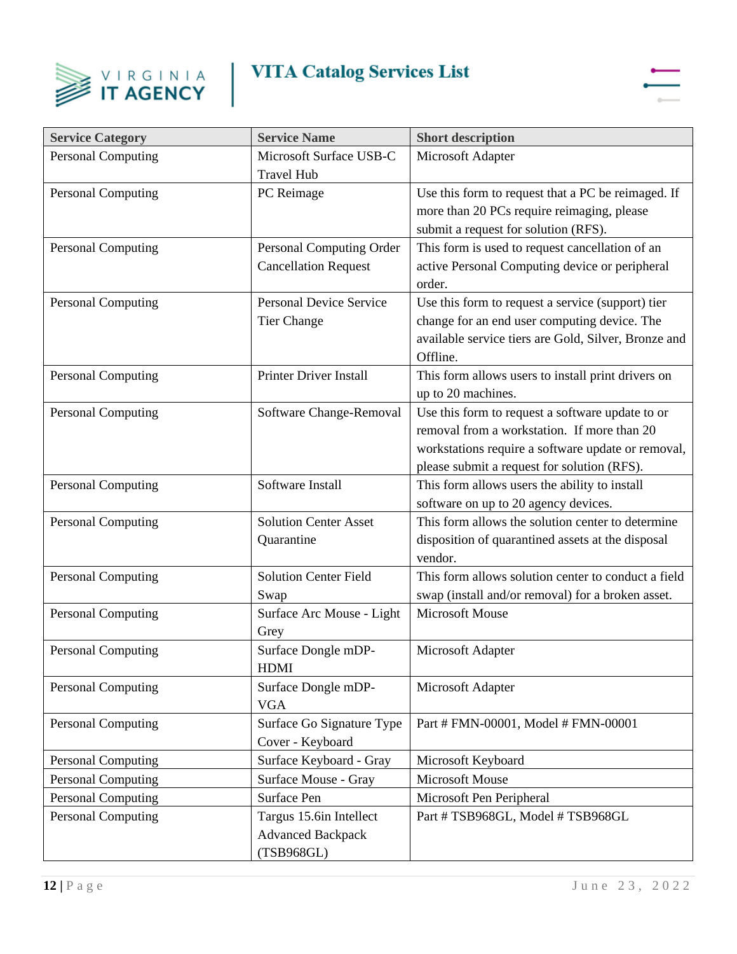



| <b>Service Category</b>   | <b>Service Name</b>                                               | <b>Short description</b>                                                                                                                                                                             |
|---------------------------|-------------------------------------------------------------------|------------------------------------------------------------------------------------------------------------------------------------------------------------------------------------------------------|
| <b>Personal Computing</b> | Microsoft Surface USB-C<br><b>Travel Hub</b>                      | Microsoft Adapter                                                                                                                                                                                    |
| <b>Personal Computing</b> | PC Reimage                                                        | Use this form to request that a PC be reimaged. If<br>more than 20 PCs require reimaging, please<br>submit a request for solution (RFS).                                                             |
| <b>Personal Computing</b> | Personal Computing Order<br><b>Cancellation Request</b>           | This form is used to request cancellation of an<br>active Personal Computing device or peripheral<br>order.                                                                                          |
| <b>Personal Computing</b> | <b>Personal Device Service</b><br>Tier Change                     | Use this form to request a service (support) tier<br>change for an end user computing device. The<br>available service tiers are Gold, Silver, Bronze and<br>Offline.                                |
| <b>Personal Computing</b> | <b>Printer Driver Install</b>                                     | This form allows users to install print drivers on<br>up to 20 machines.                                                                                                                             |
| <b>Personal Computing</b> | Software Change-Removal                                           | Use this form to request a software update to or<br>removal from a workstation. If more than 20<br>workstations require a software update or removal,<br>please submit a request for solution (RFS). |
| <b>Personal Computing</b> | Software Install                                                  | This form allows users the ability to install<br>software on up to 20 agency devices.                                                                                                                |
| <b>Personal Computing</b> | <b>Solution Center Asset</b><br>Quarantine                        | This form allows the solution center to determine<br>disposition of quarantined assets at the disposal<br>vendor.                                                                                    |
| Personal Computing        | <b>Solution Center Field</b><br>Swap                              | This form allows solution center to conduct a field<br>swap (install and/or removal) for a broken asset.                                                                                             |
| <b>Personal Computing</b> | Surface Arc Mouse - Light<br>Grey                                 | <b>Microsoft Mouse</b>                                                                                                                                                                               |
| <b>Personal Computing</b> | Surface Dongle mDP-<br><b>HDMI</b>                                | Microsoft Adapter                                                                                                                                                                                    |
| <b>Personal Computing</b> | Surface Dongle mDP-<br><b>VGA</b>                                 | Microsoft Adapter                                                                                                                                                                                    |
| <b>Personal Computing</b> | Surface Go Signature Type<br>Cover - Keyboard                     | Part # FMN-00001, Model # FMN-00001                                                                                                                                                                  |
| Personal Computing        | Surface Keyboard - Gray                                           | Microsoft Keyboard                                                                                                                                                                                   |
| <b>Personal Computing</b> | Surface Mouse - Gray                                              | <b>Microsoft Mouse</b>                                                                                                                                                                               |
| <b>Personal Computing</b> | Surface Pen                                                       | Microsoft Pen Peripheral                                                                                                                                                                             |
| <b>Personal Computing</b> | Targus 15.6in Intellect<br><b>Advanced Backpack</b><br>(TSB968GL) | Part # TSB968GL, Model # TSB968GL                                                                                                                                                                    |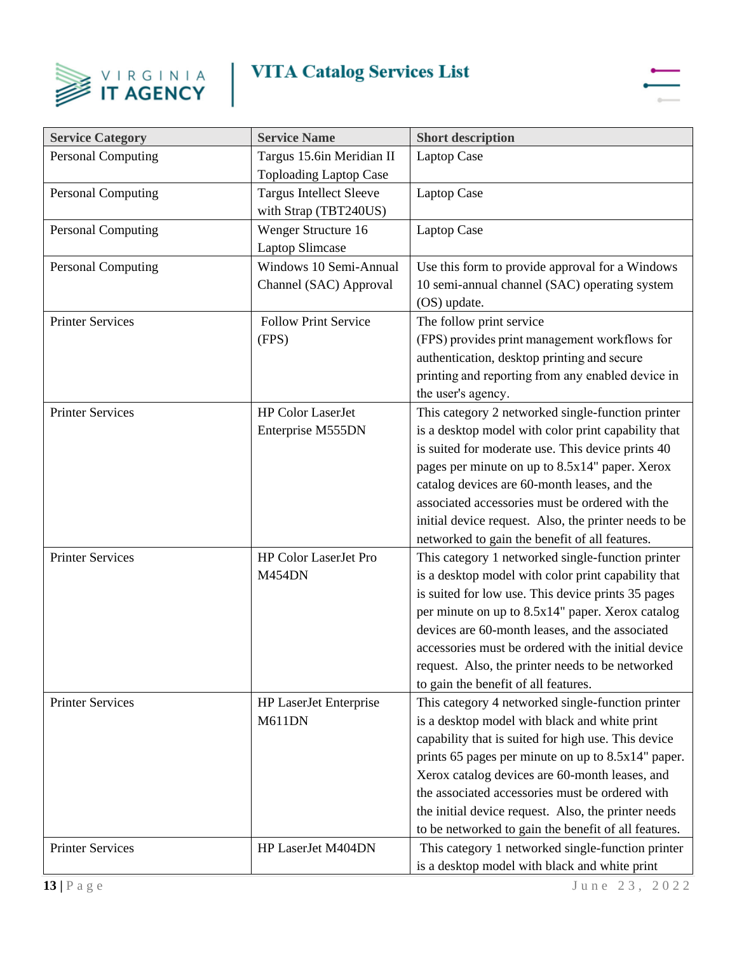



| <b>Service Category</b>   | <b>Service Name</b>                                        | <b>Short description</b>                                                                                                                                                                                                                                                                                                                                                                                                            |
|---------------------------|------------------------------------------------------------|-------------------------------------------------------------------------------------------------------------------------------------------------------------------------------------------------------------------------------------------------------------------------------------------------------------------------------------------------------------------------------------------------------------------------------------|
| <b>Personal Computing</b> | Targus 15.6in Meridian II<br><b>Toploading Laptop Case</b> | <b>Laptop Case</b>                                                                                                                                                                                                                                                                                                                                                                                                                  |
| <b>Personal Computing</b> | <b>Targus Intellect Sleeve</b><br>with Strap (TBT240US)    | <b>Laptop Case</b>                                                                                                                                                                                                                                                                                                                                                                                                                  |
| <b>Personal Computing</b> | Wenger Structure 16<br><b>Laptop Slimcase</b>              | Laptop Case                                                                                                                                                                                                                                                                                                                                                                                                                         |
| <b>Personal Computing</b> | Windows 10 Semi-Annual<br>Channel (SAC) Approval           | Use this form to provide approval for a Windows<br>10 semi-annual channel (SAC) operating system<br>(OS) update.                                                                                                                                                                                                                                                                                                                    |
| <b>Printer Services</b>   | <b>Follow Print Service</b><br>(FPS)                       | The follow print service<br>(FPS) provides print management workflows for<br>authentication, desktop printing and secure<br>printing and reporting from any enabled device in<br>the user's agency.                                                                                                                                                                                                                                 |
| <b>Printer Services</b>   | <b>HP Color LaserJet</b><br>Enterprise M555DN              | This category 2 networked single-function printer<br>is a desktop model with color print capability that<br>is suited for moderate use. This device prints 40<br>pages per minute on up to 8.5x14" paper. Xerox<br>catalog devices are 60-month leases, and the<br>associated accessories must be ordered with the<br>initial device request. Also, the printer needs to be<br>networked to gain the benefit of all features.       |
| <b>Printer Services</b>   | HP Color LaserJet Pro<br><b>M454DN</b>                     | This category 1 networked single-function printer<br>is a desktop model with color print capability that<br>is suited for low use. This device prints 35 pages<br>per minute on up to 8.5x14" paper. Xerox catalog<br>devices are 60-month leases, and the associated<br>accessories must be ordered with the initial device<br>request. Also, the printer needs to be networked<br>to gain the benefit of all features.            |
| <b>Printer Services</b>   | <b>HP LaserJet Enterprise</b><br><b>M611DN</b>             | This category 4 networked single-function printer<br>is a desktop model with black and white print<br>capability that is suited for high use. This device<br>prints 65 pages per minute on up to 8.5x14" paper.<br>Xerox catalog devices are 60-month leases, and<br>the associated accessories must be ordered with<br>the initial device request. Also, the printer needs<br>to be networked to gain the benefit of all features. |
| <b>Printer Services</b>   | HP LaserJet M404DN                                         | This category 1 networked single-function printer<br>is a desktop model with black and white print                                                                                                                                                                                                                                                                                                                                  |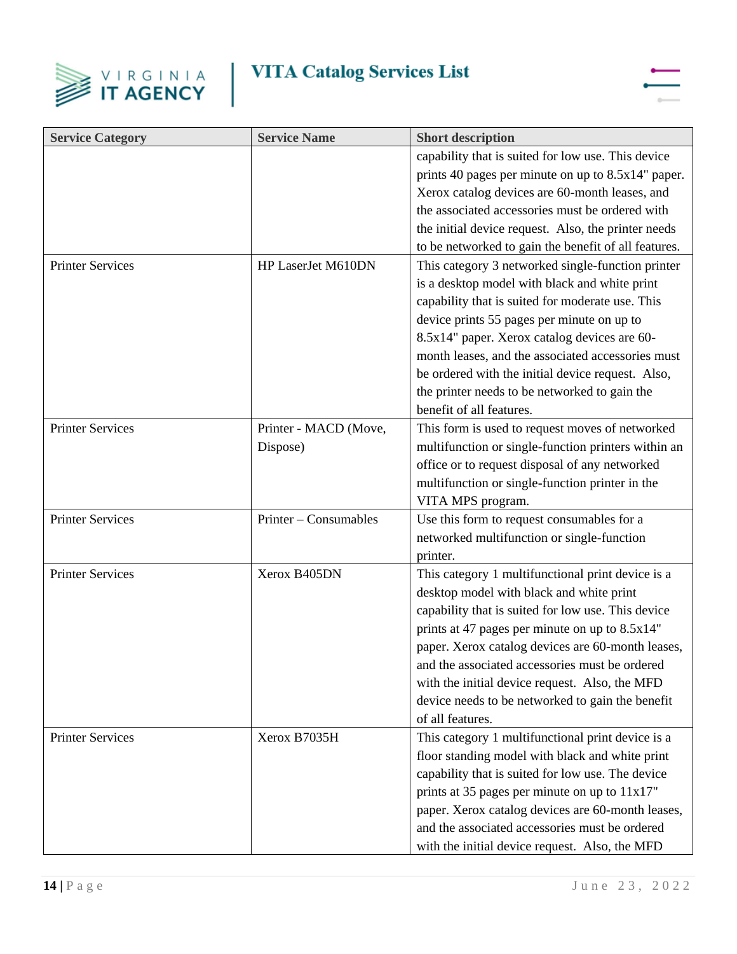



| <b>Service Category</b> | <b>Service Name</b>   | <b>Short description</b>                             |
|-------------------------|-----------------------|------------------------------------------------------|
|                         |                       | capability that is suited for low use. This device   |
|                         |                       | prints 40 pages per minute on up to 8.5x14" paper.   |
|                         |                       | Xerox catalog devices are 60-month leases, and       |
|                         |                       | the associated accessories must be ordered with      |
|                         |                       | the initial device request. Also, the printer needs  |
|                         |                       | to be networked to gain the benefit of all features. |
| <b>Printer Services</b> | HP LaserJet M610DN    | This category 3 networked single-function printer    |
|                         |                       | is a desktop model with black and white print        |
|                         |                       | capability that is suited for moderate use. This     |
|                         |                       | device prints 55 pages per minute on up to           |
|                         |                       | 8.5x14" paper. Xerox catalog devices are 60-         |
|                         |                       | month leases, and the associated accessories must    |
|                         |                       | be ordered with the initial device request. Also,    |
|                         |                       | the printer needs to be networked to gain the        |
|                         |                       | benefit of all features.                             |
| <b>Printer Services</b> | Printer - MACD (Move, | This form is used to request moves of networked      |
|                         | Dispose)              | multifunction or single-function printers within an  |
|                         |                       | office or to request disposal of any networked       |
|                         |                       | multifunction or single-function printer in the      |
|                         |                       | VITA MPS program.                                    |
| <b>Printer Services</b> | Printer – Consumables | Use this form to request consumables for a           |
|                         |                       | networked multifunction or single-function           |
|                         |                       | printer.                                             |
| <b>Printer Services</b> | Xerox B405DN          | This category 1 multifunctional print device is a    |
|                         |                       | desktop model with black and white print             |
|                         |                       | capability that is suited for low use. This device   |
|                         |                       | prints at 47 pages per minute on up to 8.5x14"       |
|                         |                       | paper. Xerox catalog devices are 60-month leases,    |
|                         |                       | and the associated accessories must be ordered       |
|                         |                       | with the initial device request. Also, the MFD       |
|                         |                       | device needs to be networked to gain the benefit     |
|                         |                       | of all features.                                     |
| <b>Printer Services</b> | Xerox B7035H          | This category 1 multifunctional print device is a    |
|                         |                       | floor standing model with black and white print      |
|                         |                       | capability that is suited for low use. The device    |
|                         |                       | prints at 35 pages per minute on up to $11x17$ "     |
|                         |                       | paper. Xerox catalog devices are 60-month leases,    |
|                         |                       | and the associated accessories must be ordered       |
|                         |                       | with the initial device request. Also, the MFD       |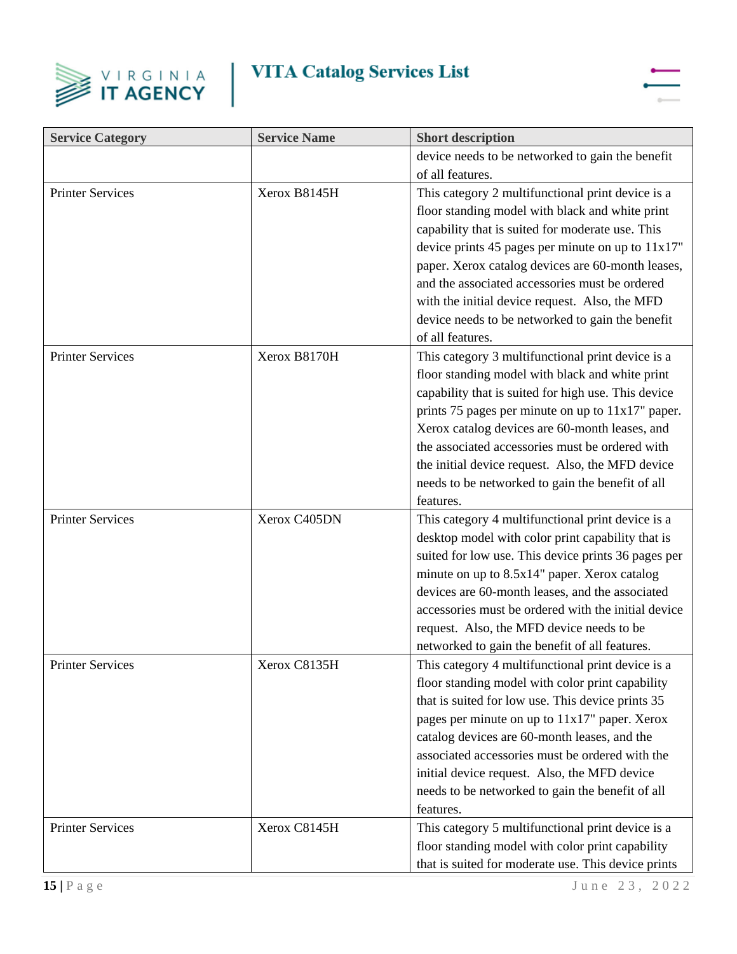



| <b>Service Category</b> | <b>Service Name</b> | <b>Short description</b>                             |
|-------------------------|---------------------|------------------------------------------------------|
|                         |                     | device needs to be networked to gain the benefit     |
|                         |                     | of all features.                                     |
| <b>Printer Services</b> | Xerox B8145H        | This category 2 multifunctional print device is a    |
|                         |                     | floor standing model with black and white print      |
|                         |                     | capability that is suited for moderate use. This     |
|                         |                     | device prints 45 pages per minute on up to $11x17$ " |
|                         |                     | paper. Xerox catalog devices are 60-month leases,    |
|                         |                     | and the associated accessories must be ordered       |
|                         |                     | with the initial device request. Also, the MFD       |
|                         |                     | device needs to be networked to gain the benefit     |
|                         |                     | of all features.                                     |
| <b>Printer Services</b> | Xerox B8170H        | This category 3 multifunctional print device is a    |
|                         |                     | floor standing model with black and white print      |
|                         |                     | capability that is suited for high use. This device  |
|                         |                     | prints 75 pages per minute on up to 11x17" paper.    |
|                         |                     | Xerox catalog devices are 60-month leases, and       |
|                         |                     | the associated accessories must be ordered with      |
|                         |                     | the initial device request. Also, the MFD device     |
|                         |                     | needs to be networked to gain the benefit of all     |
|                         |                     | features.                                            |
| <b>Printer Services</b> | Xerox C405DN        | This category 4 multifunctional print device is a    |
|                         |                     | desktop model with color print capability that is    |
|                         |                     | suited for low use. This device prints 36 pages per  |
|                         |                     | minute on up to 8.5x14" paper. Xerox catalog         |
|                         |                     | devices are 60-month leases, and the associated      |
|                         |                     | accessories must be ordered with the initial device  |
|                         |                     | request. Also, the MFD device needs to be            |
|                         |                     | networked to gain the benefit of all features.       |
| <b>Printer Services</b> | Xerox C8135H        | This category 4 multifunctional print device is a    |
|                         |                     | floor standing model with color print capability     |
|                         |                     | that is suited for low use. This device prints 35    |
|                         |                     | pages per minute on up to 11x17" paper. Xerox        |
|                         |                     | catalog devices are 60-month leases, and the         |
|                         |                     | associated accessories must be ordered with the      |
|                         |                     | initial device request. Also, the MFD device         |
|                         |                     | needs to be networked to gain the benefit of all     |
|                         |                     | features.                                            |
| <b>Printer Services</b> | Xerox C8145H        | This category 5 multifunctional print device is a    |
|                         |                     | floor standing model with color print capability     |
|                         |                     | that is suited for moderate use. This device prints  |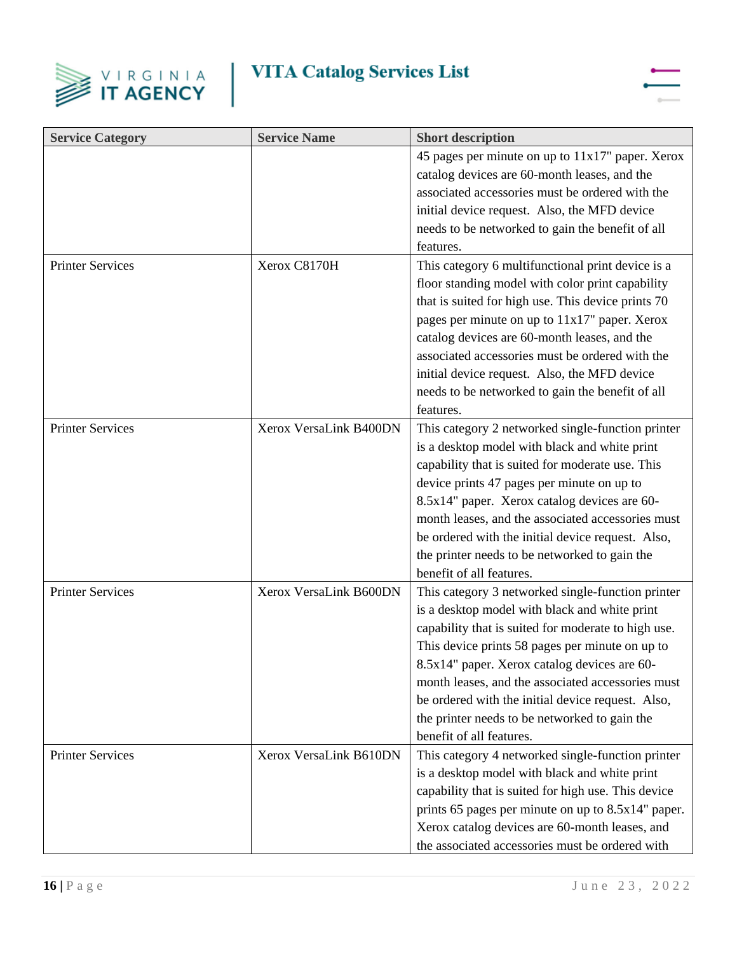



| <b>Service Category</b> | <b>Service Name</b>    | <b>Short description</b>                                                                                                                                                                                                                                                                                                                                                                                                                            |
|-------------------------|------------------------|-----------------------------------------------------------------------------------------------------------------------------------------------------------------------------------------------------------------------------------------------------------------------------------------------------------------------------------------------------------------------------------------------------------------------------------------------------|
|                         |                        | 45 pages per minute on up to 11x17" paper. Xerox<br>catalog devices are 60-month leases, and the<br>associated accessories must be ordered with the<br>initial device request. Also, the MFD device<br>needs to be networked to gain the benefit of all<br>features.                                                                                                                                                                                |
| <b>Printer Services</b> | Xerox C8170H           | This category 6 multifunctional print device is a<br>floor standing model with color print capability<br>that is suited for high use. This device prints 70<br>pages per minute on up to 11x17" paper. Xerox<br>catalog devices are 60-month leases, and the<br>associated accessories must be ordered with the<br>initial device request. Also, the MFD device<br>needs to be networked to gain the benefit of all<br>features.                    |
| <b>Printer Services</b> | Xerox VersaLink B400DN | This category 2 networked single-function printer<br>is a desktop model with black and white print<br>capability that is suited for moderate use. This<br>device prints 47 pages per minute on up to<br>8.5x14" paper. Xerox catalog devices are 60-<br>month leases, and the associated accessories must<br>be ordered with the initial device request. Also,<br>the printer needs to be networked to gain the<br>benefit of all features.         |
| <b>Printer Services</b> | Xerox VersaLink B600DN | This category 3 networked single-function printer<br>is a desktop model with black and white print<br>capability that is suited for moderate to high use.<br>This device prints 58 pages per minute on up to<br>8.5x14" paper. Xerox catalog devices are 60-<br>month leases, and the associated accessories must<br>be ordered with the initial device request. Also,<br>the printer needs to be networked to gain the<br>benefit of all features. |
| <b>Printer Services</b> | Xerox VersaLink B610DN | This category 4 networked single-function printer<br>is a desktop model with black and white print<br>capability that is suited for high use. This device<br>prints 65 pages per minute on up to 8.5x14" paper.<br>Xerox catalog devices are 60-month leases, and<br>the associated accessories must be ordered with                                                                                                                                |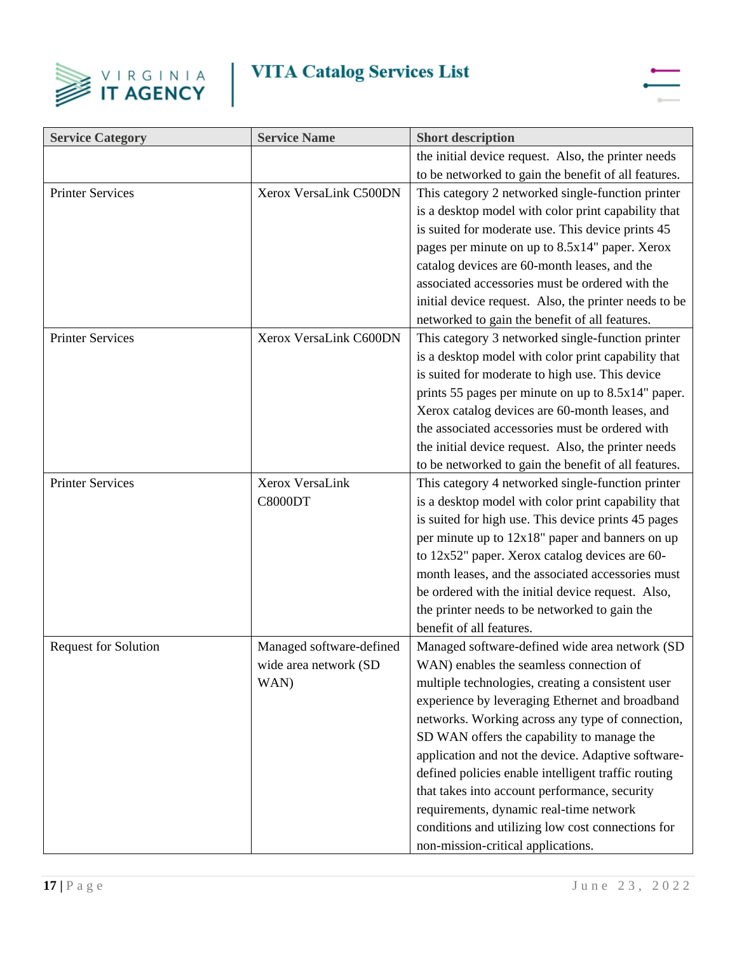



| <b>Service Category</b>     | <b>Service Name</b>      | <b>Short description</b>                              |
|-----------------------------|--------------------------|-------------------------------------------------------|
|                             |                          | the initial device request. Also, the printer needs   |
|                             |                          | to be networked to gain the benefit of all features.  |
| <b>Printer Services</b>     | Xerox VersaLink C500DN   | This category 2 networked single-function printer     |
|                             |                          | is a desktop model with color print capability that   |
|                             |                          | is suited for moderate use. This device prints 45     |
|                             |                          | pages per minute on up to 8.5x14" paper. Xerox        |
|                             |                          | catalog devices are 60-month leases, and the          |
|                             |                          | associated accessories must be ordered with the       |
|                             |                          | initial device request. Also, the printer needs to be |
|                             |                          | networked to gain the benefit of all features.        |
| <b>Printer Services</b>     | Xerox VersaLink C600DN   | This category 3 networked single-function printer     |
|                             |                          | is a desktop model with color print capability that   |
|                             |                          | is suited for moderate to high use. This device       |
|                             |                          | prints 55 pages per minute on up to 8.5x14" paper.    |
|                             |                          | Xerox catalog devices are 60-month leases, and        |
|                             |                          | the associated accessories must be ordered with       |
|                             |                          | the initial device request. Also, the printer needs   |
|                             |                          | to be networked to gain the benefit of all features.  |
| <b>Printer Services</b>     | Xerox VersaLink          | This category 4 networked single-function printer     |
|                             | C8000DT                  | is a desktop model with color print capability that   |
|                             |                          | is suited for high use. This device prints 45 pages   |
|                             |                          | per minute up to $12x18$ " paper and banners on up    |
|                             |                          | to 12x52" paper. Xerox catalog devices are 60-        |
|                             |                          | month leases, and the associated accessories must     |
|                             |                          | be ordered with the initial device request. Also,     |
|                             |                          | the printer needs to be networked to gain the         |
|                             |                          | benefit of all features.                              |
| <b>Request for Solution</b> | Managed software-defined | Managed software-defined wide area network (SD        |
|                             | wide area network (SD    | WAN) enables the seamless connection of               |
|                             | WAN)                     | multiple technologies, creating a consistent user     |
|                             |                          | experience by leveraging Ethernet and broadband       |
|                             |                          | networks. Working across any type of connection,      |
|                             |                          | SD WAN offers the capability to manage the            |
|                             |                          | application and not the device. Adaptive software-    |
|                             |                          | defined policies enable intelligent traffic routing   |
|                             |                          | that takes into account performance, security         |
|                             |                          | requirements, dynamic real-time network               |
|                             |                          | conditions and utilizing low cost connections for     |
|                             |                          | non-mission-critical applications.                    |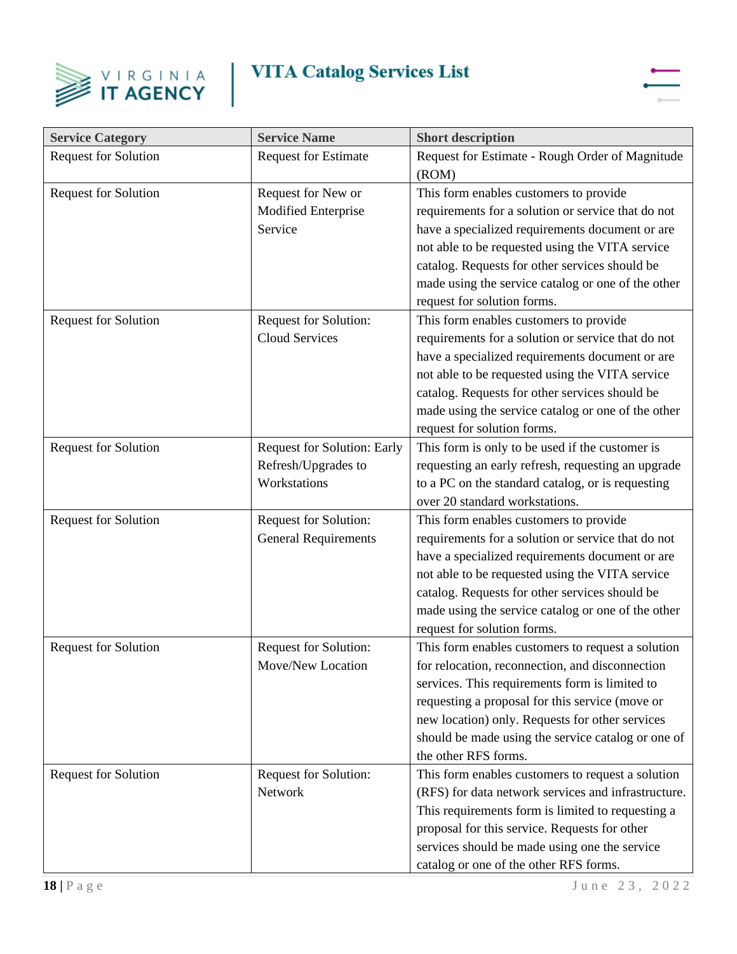



| <b>Service Category</b>     | <b>Service Name</b>                                                       | <b>Short description</b>                                                                                                                                                                                                                                                                                                                   |
|-----------------------------|---------------------------------------------------------------------------|--------------------------------------------------------------------------------------------------------------------------------------------------------------------------------------------------------------------------------------------------------------------------------------------------------------------------------------------|
| <b>Request for Solution</b> | <b>Request for Estimate</b>                                               | Request for Estimate - Rough Order of Magnitude<br>(ROM)                                                                                                                                                                                                                                                                                   |
| <b>Request for Solution</b> | Request for New or<br>Modified Enterprise<br>Service                      | This form enables customers to provide<br>requirements for a solution or service that do not<br>have a specialized requirements document or are<br>not able to be requested using the VITA service<br>catalog. Requests for other services should be<br>made using the service catalog or one of the other<br>request for solution forms.  |
| <b>Request for Solution</b> | Request for Solution:<br><b>Cloud Services</b>                            | This form enables customers to provide<br>requirements for a solution or service that do not<br>have a specialized requirements document or are<br>not able to be requested using the VITA service<br>catalog. Requests for other services should be<br>made using the service catalog or one of the other<br>request for solution forms.  |
| <b>Request for Solution</b> | <b>Request for Solution: Early</b><br>Refresh/Upgrades to<br>Workstations | This form is only to be used if the customer is<br>requesting an early refresh, requesting an upgrade<br>to a PC on the standard catalog, or is requesting<br>over 20 standard workstations.                                                                                                                                               |
| <b>Request for Solution</b> | Request for Solution:<br><b>General Requirements</b>                      | This form enables customers to provide<br>requirements for a solution or service that do not<br>have a specialized requirements document or are<br>not able to be requested using the VITA service<br>catalog. Requests for other services should be<br>made using the service catalog or one of the other<br>request for solution forms.  |
| <b>Request for Solution</b> | Request for Solution:<br>Move/New Location                                | This form enables customers to request a solution<br>for relocation, reconnection, and disconnection<br>services. This requirements form is limited to<br>requesting a proposal for this service (move or<br>new location) only. Requests for other services<br>should be made using the service catalog or one of<br>the other RFS forms. |
| <b>Request for Solution</b> | <b>Request for Solution:</b><br>Network                                   | This form enables customers to request a solution<br>(RFS) for data network services and infrastructure.<br>This requirements form is limited to requesting a<br>proposal for this service. Requests for other<br>services should be made using one the service<br>catalog or one of the other RFS forms.                                  |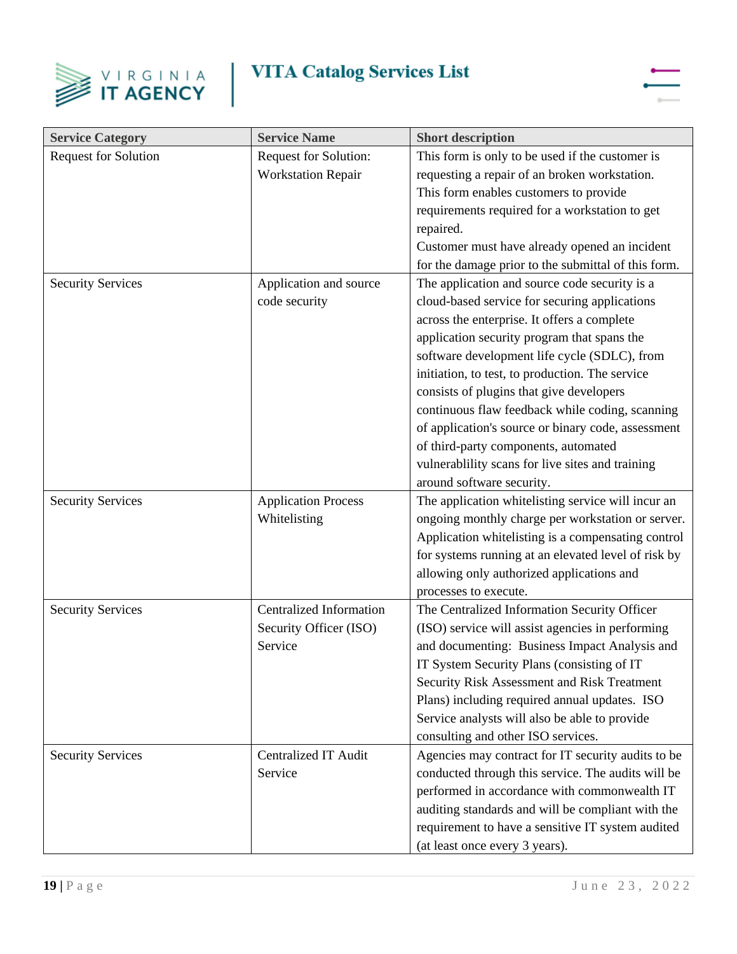



| <b>Service Category</b>     | <b>Service Name</b>            | <b>Short description</b>                            |
|-----------------------------|--------------------------------|-----------------------------------------------------|
| <b>Request for Solution</b> | Request for Solution:          | This form is only to be used if the customer is     |
|                             | <b>Workstation Repair</b>      | requesting a repair of an broken workstation.       |
|                             |                                | This form enables customers to provide              |
|                             |                                | requirements required for a workstation to get      |
|                             |                                | repaired.                                           |
|                             |                                | Customer must have already opened an incident       |
|                             |                                | for the damage prior to the submittal of this form. |
| <b>Security Services</b>    | Application and source         | The application and source code security is a       |
|                             | code security                  | cloud-based service for securing applications       |
|                             |                                | across the enterprise. It offers a complete         |
|                             |                                | application security program that spans the         |
|                             |                                | software development life cycle (SDLC), from        |
|                             |                                | initiation, to test, to production. The service     |
|                             |                                | consists of plugins that give developers            |
|                             |                                | continuous flaw feedback while coding, scanning     |
|                             |                                | of application's source or binary code, assessment  |
|                             |                                | of third-party components, automated                |
|                             |                                | vulnerablility scans for live sites and training    |
|                             |                                | around software security.                           |
| <b>Security Services</b>    | <b>Application Process</b>     | The application whitelisting service will incur an  |
|                             | Whitelisting                   | ongoing monthly charge per workstation or server.   |
|                             |                                | Application whitelisting is a compensating control  |
|                             |                                | for systems running at an elevated level of risk by |
|                             |                                | allowing only authorized applications and           |
|                             |                                | processes to execute.                               |
| <b>Security Services</b>    | <b>Centralized Information</b> | The Centralized Information Security Officer        |
|                             | Security Officer (ISO)         | (ISO) service will assist agencies in performing    |
|                             | Service                        | and documenting: Business Impact Analysis and       |
|                             |                                | IT System Security Plans (consisting of IT          |
|                             |                                | Security Risk Assessment and Risk Treatment         |
|                             |                                | Plans) including required annual updates. ISO       |
|                             |                                | Service analysts will also be able to provide       |
|                             |                                | consulting and other ISO services.                  |
| <b>Security Services</b>    | <b>Centralized IT Audit</b>    | Agencies may contract for IT security audits to be  |
|                             | Service                        | conducted through this service. The audits will be  |
|                             |                                | performed in accordance with commonwealth IT        |
|                             |                                | auditing standards and will be compliant with the   |
|                             |                                | requirement to have a sensitive IT system audited   |
|                             |                                | (at least once every 3 years).                      |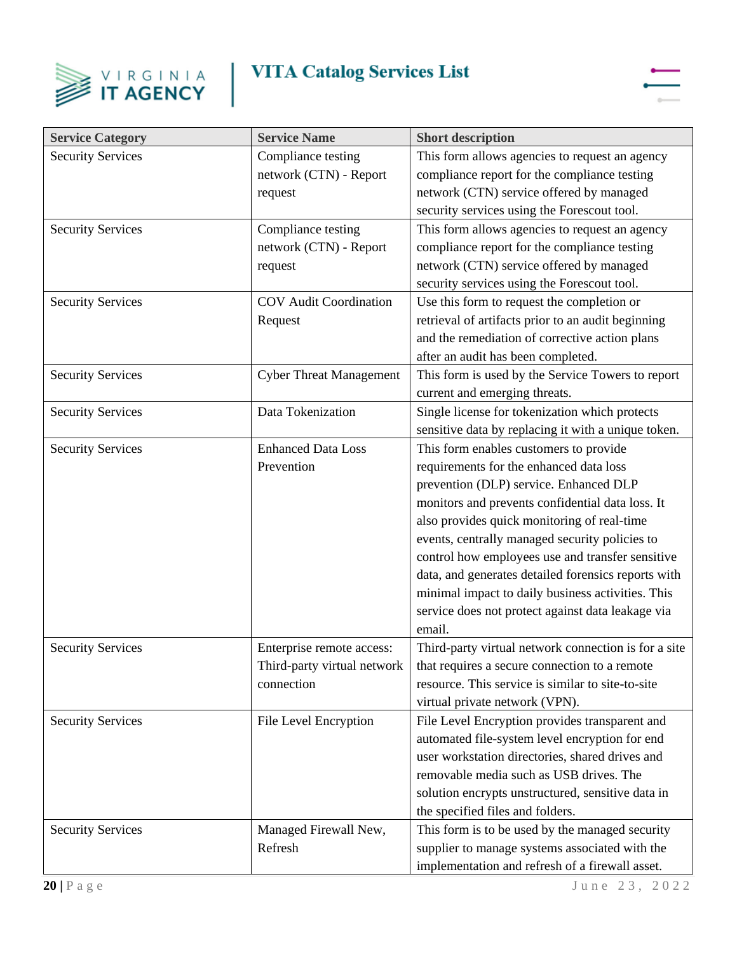



| <b>Service Category</b>  | <b>Service Name</b>            | <b>Short description</b>                             |
|--------------------------|--------------------------------|------------------------------------------------------|
| <b>Security Services</b> | Compliance testing             | This form allows agencies to request an agency       |
|                          | network (CTN) - Report         | compliance report for the compliance testing         |
|                          | request                        | network (CTN) service offered by managed             |
|                          |                                | security services using the Forescout tool.          |
| <b>Security Services</b> | Compliance testing             | This form allows agencies to request an agency       |
|                          | network (CTN) - Report         | compliance report for the compliance testing         |
|                          | request                        | network (CTN) service offered by managed             |
|                          |                                | security services using the Forescout tool.          |
| <b>Security Services</b> | <b>COV</b> Audit Coordination  | Use this form to request the completion or           |
|                          | Request                        | retrieval of artifacts prior to an audit beginning   |
|                          |                                | and the remediation of corrective action plans       |
|                          |                                | after an audit has been completed.                   |
| <b>Security Services</b> | <b>Cyber Threat Management</b> | This form is used by the Service Towers to report    |
|                          |                                | current and emerging threats.                        |
| <b>Security Services</b> | Data Tokenization              | Single license for tokenization which protects       |
|                          |                                | sensitive data by replacing it with a unique token.  |
| <b>Security Services</b> | <b>Enhanced Data Loss</b>      | This form enables customers to provide               |
|                          | Prevention                     | requirements for the enhanced data loss              |
|                          |                                | prevention (DLP) service. Enhanced DLP               |
|                          |                                | monitors and prevents confidential data loss. It     |
|                          |                                | also provides quick monitoring of real-time          |
|                          |                                | events, centrally managed security policies to       |
|                          |                                | control how employees use and transfer sensitive     |
|                          |                                | data, and generates detailed forensics reports with  |
|                          |                                | minimal impact to daily business activities. This    |
|                          |                                | service does not protect against data leakage via    |
|                          |                                | email.                                               |
| <b>Security Services</b> | Enterprise remote access:      | Third-party virtual network connection is for a site |
|                          | Third-party virtual network    | that requires a secure connection to a remote        |
|                          | connection                     | resource. This service is similar to site-to-site    |
|                          |                                | virtual private network (VPN).                       |
| <b>Security Services</b> | File Level Encryption          | File Level Encryption provides transparent and       |
|                          |                                | automated file-system level encryption for end       |
|                          |                                | user workstation directories, shared drives and      |
|                          |                                | removable media such as USB drives. The              |
|                          |                                | solution encrypts unstructured, sensitive data in    |
|                          |                                | the specified files and folders.                     |
| <b>Security Services</b> | Managed Firewall New,          | This form is to be used by the managed security      |
|                          | Refresh                        | supplier to manage systems associated with the       |
|                          |                                | implementation and refresh of a firewall asset.      |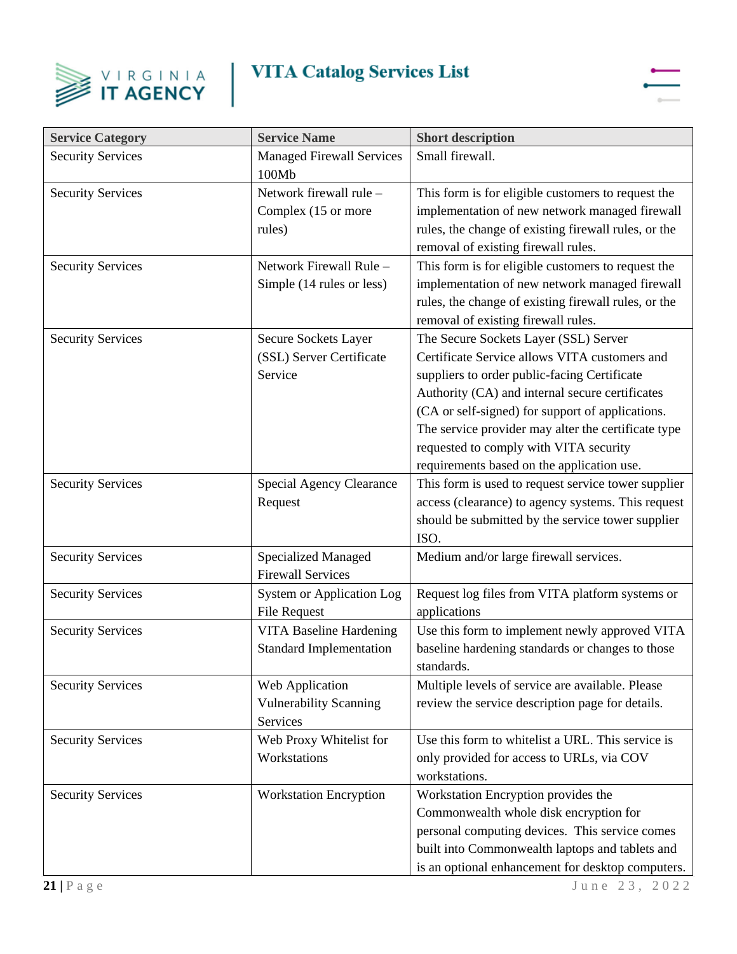



| <b>Service Category</b>  | <b>Service Name</b>                                              | <b>Short description</b>                                                                                                                                                                                                                                                                                                                                                                     |
|--------------------------|------------------------------------------------------------------|----------------------------------------------------------------------------------------------------------------------------------------------------------------------------------------------------------------------------------------------------------------------------------------------------------------------------------------------------------------------------------------------|
| <b>Security Services</b> | <b>Managed Firewall Services</b><br>100Mb                        | Small firewall.                                                                                                                                                                                                                                                                                                                                                                              |
| <b>Security Services</b> | Network firewall rule -<br>Complex (15 or more<br>rules)         | This form is for eligible customers to request the<br>implementation of new network managed firewall<br>rules, the change of existing firewall rules, or the<br>removal of existing firewall rules.                                                                                                                                                                                          |
| <b>Security Services</b> | Network Firewall Rule -<br>Simple (14 rules or less)             | This form is for eligible customers to request the<br>implementation of new network managed firewall<br>rules, the change of existing firewall rules, or the<br>removal of existing firewall rules.                                                                                                                                                                                          |
| <b>Security Services</b> | Secure Sockets Layer<br>(SSL) Server Certificate<br>Service      | The Secure Sockets Layer (SSL) Server<br>Certificate Service allows VITA customers and<br>suppliers to order public-facing Certificate<br>Authority (CA) and internal secure certificates<br>(CA or self-signed) for support of applications.<br>The service provider may alter the certificate type<br>requested to comply with VITA security<br>requirements based on the application use. |
| <b>Security Services</b> | Special Agency Clearance<br>Request                              | This form is used to request service tower supplier<br>access (clearance) to agency systems. This request<br>should be submitted by the service tower supplier<br>ISO.                                                                                                                                                                                                                       |
| <b>Security Services</b> | <b>Specialized Managed</b><br><b>Firewall Services</b>           | Medium and/or large firewall services.                                                                                                                                                                                                                                                                                                                                                       |
| <b>Security Services</b> | <b>System or Application Log</b><br><b>File Request</b>          | Request log files from VITA platform systems or<br>applications                                                                                                                                                                                                                                                                                                                              |
| <b>Security Services</b> | <b>VITA Baseline Hardening</b><br><b>Standard Implementation</b> | Use this form to implement newly approved VITA<br>baseline hardening standards or changes to those<br>standards.                                                                                                                                                                                                                                                                             |
| <b>Security Services</b> | Web Application<br><b>Vulnerability Scanning</b><br>Services     | Multiple levels of service are available. Please<br>review the service description page for details.                                                                                                                                                                                                                                                                                         |
| <b>Security Services</b> | Web Proxy Whitelist for<br>Workstations                          | Use this form to whitelist a URL. This service is<br>only provided for access to URLs, via COV<br>workstations.                                                                                                                                                                                                                                                                              |
| <b>Security Services</b> | <b>Workstation Encryption</b>                                    | Workstation Encryption provides the<br>Commonwealth whole disk encryption for<br>personal computing devices. This service comes<br>built into Commonwealth laptops and tablets and<br>is an optional enhancement for desktop computers.                                                                                                                                                      |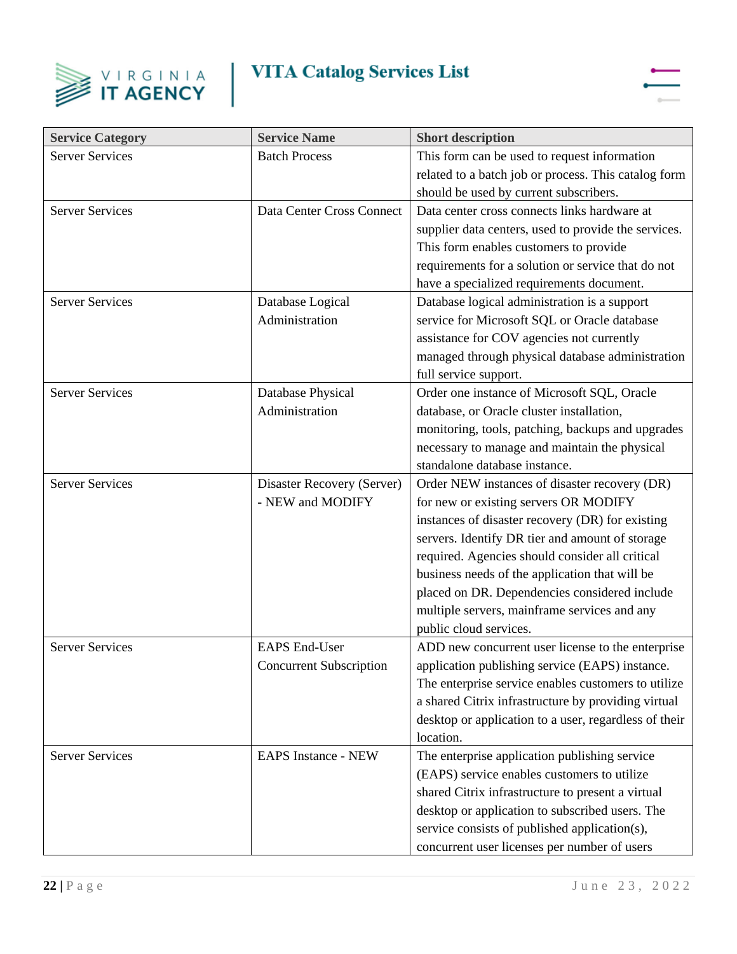



| <b>Service Category</b> | <b>Service Name</b>            | <b>Short description</b>                              |
|-------------------------|--------------------------------|-------------------------------------------------------|
| <b>Server Services</b>  | <b>Batch Process</b>           | This form can be used to request information          |
|                         |                                | related to a batch job or process. This catalog form  |
|                         |                                | should be used by current subscribers.                |
| <b>Server Services</b>  | Data Center Cross Connect      | Data center cross connects links hardware at          |
|                         |                                | supplier data centers, used to provide the services.  |
|                         |                                | This form enables customers to provide                |
|                         |                                | requirements for a solution or service that do not    |
|                         |                                | have a specialized requirements document.             |
| <b>Server Services</b>  | Database Logical               | Database logical administration is a support          |
|                         | Administration                 | service for Microsoft SQL or Oracle database          |
|                         |                                | assistance for COV agencies not currently             |
|                         |                                | managed through physical database administration      |
|                         |                                | full service support.                                 |
| <b>Server Services</b>  | Database Physical              | Order one instance of Microsoft SQL, Oracle           |
|                         | Administration                 | database, or Oracle cluster installation,             |
|                         |                                | monitoring, tools, patching, backups and upgrades     |
|                         |                                | necessary to manage and maintain the physical         |
|                         |                                | standalone database instance.                         |
| <b>Server Services</b>  | Disaster Recovery (Server)     | Order NEW instances of disaster recovery (DR)         |
|                         | - NEW and MODIFY               | for new or existing servers OR MODIFY                 |
|                         |                                | instances of disaster recovery (DR) for existing      |
|                         |                                | servers. Identify DR tier and amount of storage       |
|                         |                                | required. Agencies should consider all critical       |
|                         |                                | business needs of the application that will be        |
|                         |                                | placed on DR. Dependencies considered include         |
|                         |                                | multiple servers, mainframe services and any          |
|                         |                                | public cloud services.                                |
| <b>Server Services</b>  | <b>EAPS End-User</b>           | ADD new concurrent user license to the enterprise     |
|                         | <b>Concurrent Subscription</b> | application publishing service (EAPS) instance.       |
|                         |                                | The enterprise service enables customers to utilize   |
|                         |                                | a shared Citrix infrastructure by providing virtual   |
|                         |                                | desktop or application to a user, regardless of their |
|                         |                                | location.                                             |
| <b>Server Services</b>  | <b>EAPS Instance - NEW</b>     | The enterprise application publishing service         |
|                         |                                | (EAPS) service enables customers to utilize           |
|                         |                                | shared Citrix infrastructure to present a virtual     |
|                         |                                | desktop or application to subscribed users. The       |
|                         |                                | service consists of published application(s),         |
|                         |                                | concurrent user licenses per number of users          |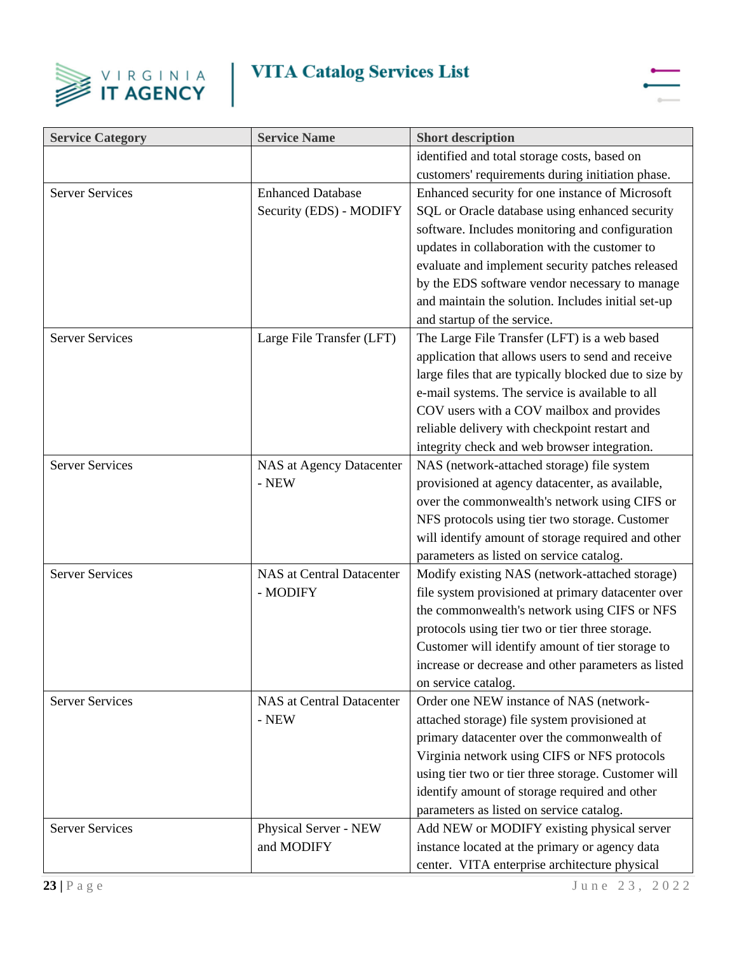



| <b>Service Category</b> | <b>Service Name</b>              | <b>Short description</b>                              |
|-------------------------|----------------------------------|-------------------------------------------------------|
|                         |                                  | identified and total storage costs, based on          |
|                         |                                  | customers' requirements during initiation phase.      |
| <b>Server Services</b>  | <b>Enhanced Database</b>         | Enhanced security for one instance of Microsoft       |
|                         | Security (EDS) - MODIFY          | SQL or Oracle database using enhanced security        |
|                         |                                  | software. Includes monitoring and configuration       |
|                         |                                  | updates in collaboration with the customer to         |
|                         |                                  | evaluate and implement security patches released      |
|                         |                                  | by the EDS software vendor necessary to manage        |
|                         |                                  | and maintain the solution. Includes initial set-up    |
|                         |                                  | and startup of the service.                           |
| <b>Server Services</b>  | Large File Transfer (LFT)        | The Large File Transfer (LFT) is a web based          |
|                         |                                  | application that allows users to send and receive     |
|                         |                                  | large files that are typically blocked due to size by |
|                         |                                  | e-mail systems. The service is available to all       |
|                         |                                  | COV users with a COV mailbox and provides             |
|                         |                                  | reliable delivery with checkpoint restart and         |
|                         |                                  | integrity check and web browser integration.          |
| <b>Server Services</b>  | NAS at Agency Datacenter         | NAS (network-attached storage) file system            |
|                         | - NEW                            | provisioned at agency datacenter, as available,       |
|                         |                                  | over the commonwealth's network using CIFS or         |
|                         |                                  | NFS protocols using tier two storage. Customer        |
|                         |                                  | will identify amount of storage required and other    |
|                         |                                  | parameters as listed on service catalog.              |
| <b>Server Services</b>  | <b>NAS</b> at Central Datacenter | Modify existing NAS (network-attached storage)        |
|                         | - MODIFY                         | file system provisioned at primary datacenter over    |
|                         |                                  | the commonwealth's network using CIFS or NFS          |
|                         |                                  | protocols using tier two or tier three storage.       |
|                         |                                  | Customer will identify amount of tier storage to      |
|                         |                                  | increase or decrease and other parameters as listed   |
|                         |                                  | on service catalog.                                   |
| <b>Server Services</b>  | <b>NAS at Central Datacenter</b> | Order one NEW instance of NAS (network-               |
|                         | - NEW                            | attached storage) file system provisioned at          |
|                         |                                  | primary datacenter over the commonwealth of           |
|                         |                                  | Virginia network using CIFS or NFS protocols          |
|                         |                                  | using tier two or tier three storage. Customer will   |
|                         |                                  | identify amount of storage required and other         |
|                         |                                  | parameters as listed on service catalog.              |
| <b>Server Services</b>  | Physical Server - NEW            | Add NEW or MODIFY existing physical server            |
|                         | and MODIFY                       | instance located at the primary or agency data        |
|                         |                                  | center. VITA enterprise architecture physical         |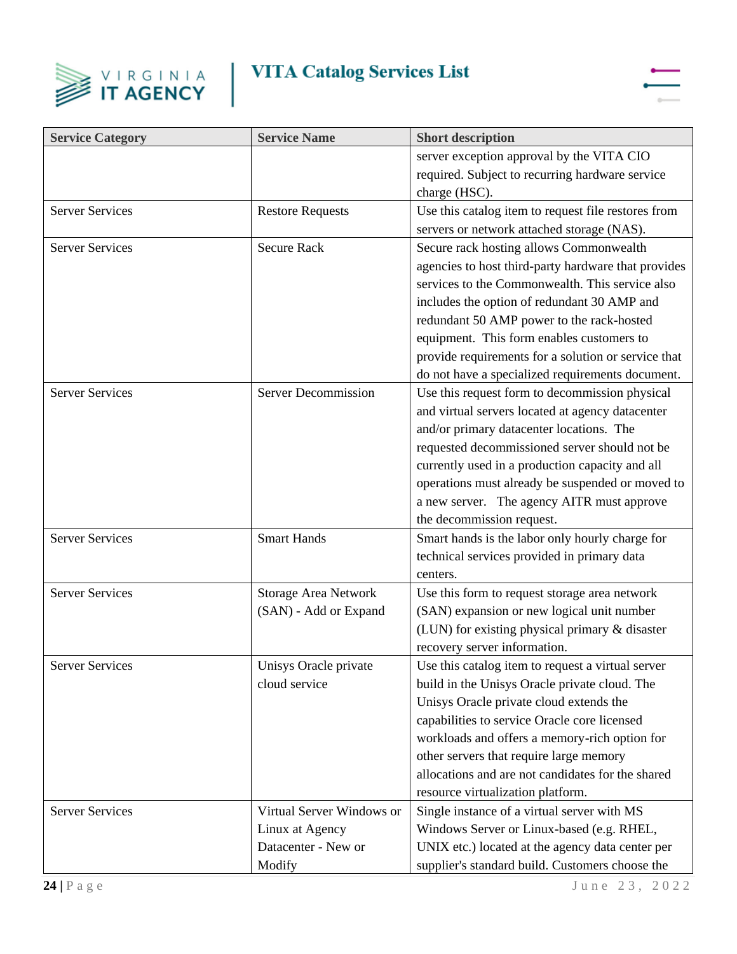



| <b>Service Category</b> | <b>Service Name</b>         | <b>Short description</b>                            |
|-------------------------|-----------------------------|-----------------------------------------------------|
|                         |                             | server exception approval by the VITA CIO           |
|                         |                             | required. Subject to recurring hardware service     |
|                         |                             | charge (HSC).                                       |
| <b>Server Services</b>  | <b>Restore Requests</b>     | Use this catalog item to request file restores from |
|                         |                             | servers or network attached storage (NAS).          |
| <b>Server Services</b>  | <b>Secure Rack</b>          | Secure rack hosting allows Commonwealth             |
|                         |                             | agencies to host third-party hardware that provides |
|                         |                             | services to the Commonwealth. This service also     |
|                         |                             | includes the option of redundant 30 AMP and         |
|                         |                             | redundant 50 AMP power to the rack-hosted           |
|                         |                             | equipment. This form enables customers to           |
|                         |                             | provide requirements for a solution or service that |
|                         |                             | do not have a specialized requirements document.    |
| <b>Server Services</b>  | <b>Server Decommission</b>  | Use this request form to decommission physical      |
|                         |                             | and virtual servers located at agency datacenter    |
|                         |                             | and/or primary datacenter locations. The            |
|                         |                             | requested decommissioned server should not be       |
|                         |                             | currently used in a production capacity and all     |
|                         |                             | operations must already be suspended or moved to    |
|                         |                             | a new server. The agency AITR must approve          |
|                         |                             | the decommission request.                           |
| <b>Server Services</b>  | <b>Smart Hands</b>          | Smart hands is the labor only hourly charge for     |
|                         |                             | technical services provided in primary data         |
|                         |                             | centers.                                            |
| <b>Server Services</b>  | <b>Storage Area Network</b> | Use this form to request storage area network       |
|                         | (SAN) - Add or Expand       | (SAN) expansion or new logical unit number          |
|                         |                             | (LUN) for existing physical primary & disaster      |
|                         |                             | recovery server information.                        |
| <b>Server Services</b>  | Unisys Oracle private       | Use this catalog item to request a virtual server   |
|                         | cloud service               | build in the Unisys Oracle private cloud. The       |
|                         |                             | Unisys Oracle private cloud extends the             |
|                         |                             | capabilities to service Oracle core licensed        |
|                         |                             | workloads and offers a memory-rich option for       |
|                         |                             | other servers that require large memory             |
|                         |                             | allocations and are not candidates for the shared   |
|                         |                             | resource virtualization platform.                   |
| <b>Server Services</b>  | Virtual Server Windows or   | Single instance of a virtual server with MS         |
|                         | Linux at Agency             | Windows Server or Linux-based (e.g. RHEL,           |
|                         | Datacenter - New or         | UNIX etc.) located at the agency data center per    |
|                         | Modify                      | supplier's standard build. Customers choose the     |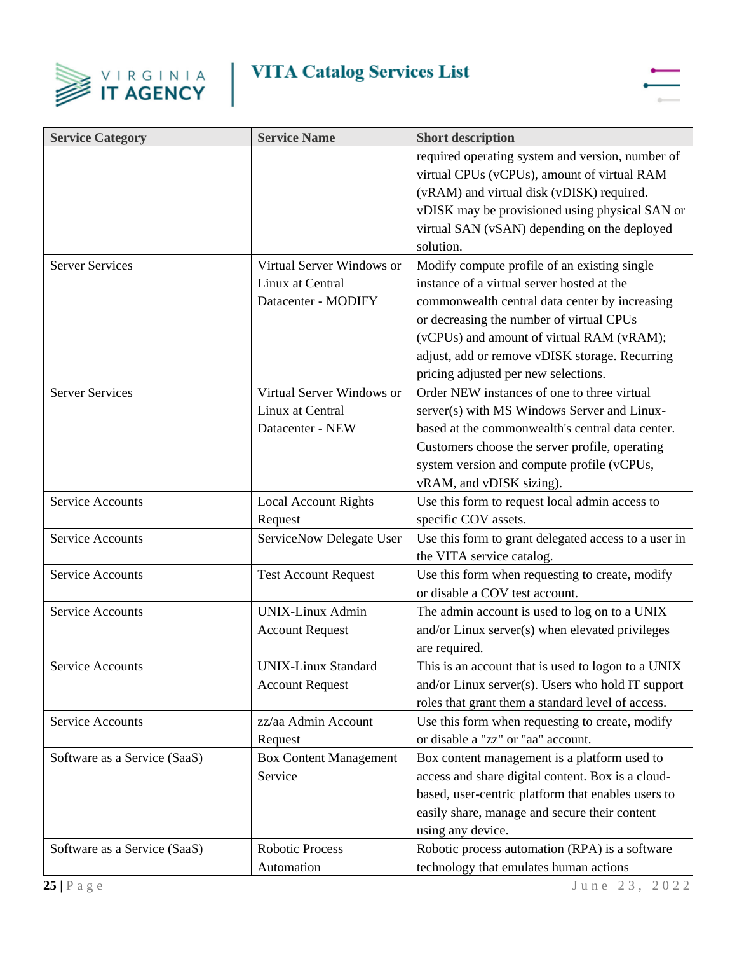



| <b>Service Category</b>      | <b>Service Name</b>           | <b>Short description</b>                             |
|------------------------------|-------------------------------|------------------------------------------------------|
|                              |                               | required operating system and version, number of     |
|                              |                               | virtual CPUs (vCPUs), amount of virtual RAM          |
|                              |                               | (vRAM) and virtual disk (vDISK) required.            |
|                              |                               | vDISK may be provisioned using physical SAN or       |
|                              |                               | virtual SAN (vSAN) depending on the deployed         |
|                              |                               | solution.                                            |
| <b>Server Services</b>       | Virtual Server Windows or     | Modify compute profile of an existing single         |
|                              | Linux at Central              | instance of a virtual server hosted at the           |
|                              | Datacenter - MODIFY           | commonwealth central data center by increasing       |
|                              |                               | or decreasing the number of virtual CPUs             |
|                              |                               | (vCPUs) and amount of virtual RAM (vRAM);            |
|                              |                               | adjust, add or remove vDISK storage. Recurring       |
|                              |                               | pricing adjusted per new selections.                 |
| <b>Server Services</b>       | Virtual Server Windows or     | Order NEW instances of one to three virtual          |
|                              | Linux at Central              | server(s) with MS Windows Server and Linux-          |
|                              | Datacenter - NEW              | based at the commonwealth's central data center.     |
|                              |                               | Customers choose the server profile, operating       |
|                              |                               | system version and compute profile (vCPUs,           |
|                              |                               | vRAM, and vDISK sizing).                             |
| <b>Service Accounts</b>      | <b>Local Account Rights</b>   | Use this form to request local admin access to       |
|                              | Request                       | specific COV assets.                                 |
| <b>Service Accounts</b>      | ServiceNow Delegate User      | Use this form to grant delegated access to a user in |
|                              |                               | the VITA service catalog.                            |
| <b>Service Accounts</b>      | <b>Test Account Request</b>   | Use this form when requesting to create, modify      |
|                              |                               | or disable a COV test account.                       |
| <b>Service Accounts</b>      | <b>UNIX-Linux Admin</b>       | The admin account is used to log on to a UNIX        |
|                              | <b>Account Request</b>        | and/or Linux server(s) when elevated privileges      |
|                              |                               | are required.                                        |
| <b>Service Accounts</b>      | <b>UNIX-Linux Standard</b>    | This is an account that is used to logon to a UNIX   |
|                              | <b>Account Request</b>        | and/or Linux server(s). Users who hold IT support    |
|                              |                               | roles that grant them a standard level of access.    |
| <b>Service Accounts</b>      | zz/aa Admin Account           | Use this form when requesting to create, modify      |
|                              | Request                       | or disable a "zz" or "aa" account.                   |
| Software as a Service (SaaS) | <b>Box Content Management</b> | Box content management is a platform used to         |
|                              | Service                       | access and share digital content. Box is a cloud-    |
|                              |                               | based, user-centric platform that enables users to   |
|                              |                               | easily share, manage and secure their content        |
|                              |                               | using any device.                                    |
| Software as a Service (SaaS) | <b>Robotic Process</b>        | Robotic process automation (RPA) is a software       |
|                              | Automation                    | technology that emulates human actions               |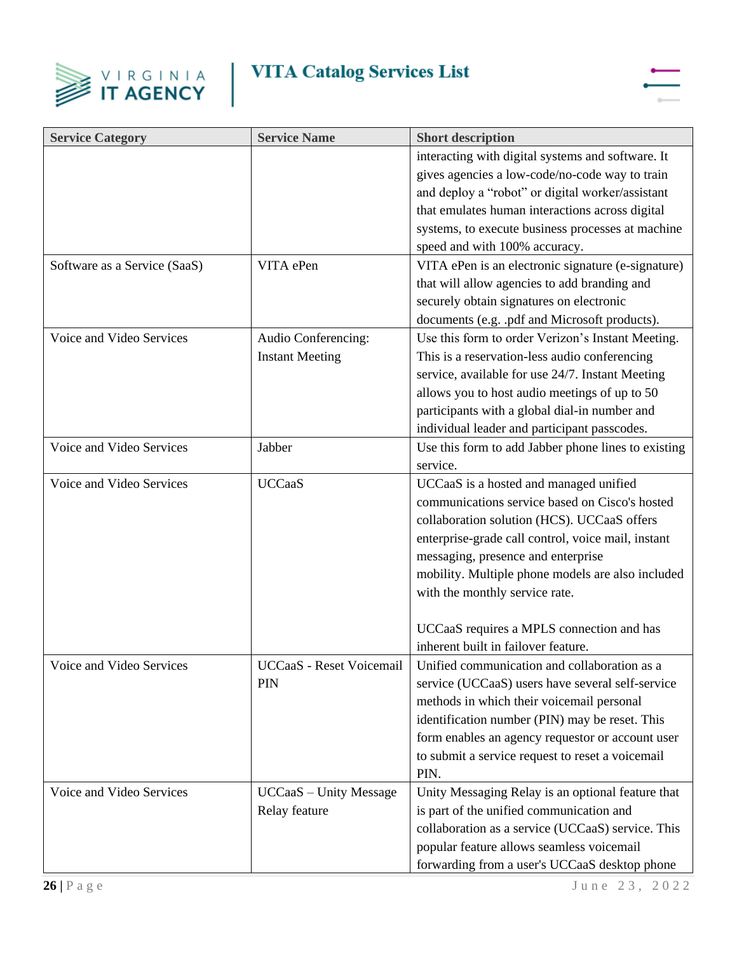



| <b>Service Category</b>      | <b>Service Name</b>           | <b>Short description</b>                            |
|------------------------------|-------------------------------|-----------------------------------------------------|
|                              |                               | interacting with digital systems and software. It   |
|                              |                               | gives agencies a low-code/no-code way to train      |
|                              |                               | and deploy a "robot" or digital worker/assistant    |
|                              |                               | that emulates human interactions across digital     |
|                              |                               | systems, to execute business processes at machine   |
|                              |                               | speed and with 100% accuracy.                       |
| Software as a Service (SaaS) | VITA ePen                     | VITA ePen is an electronic signature (e-signature)  |
|                              |                               | that will allow agencies to add branding and        |
|                              |                               | securely obtain signatures on electronic            |
|                              |                               | documents (e.g. .pdf and Microsoft products).       |
| Voice and Video Services     | Audio Conferencing:           | Use this form to order Verizon's Instant Meeting.   |
|                              | <b>Instant Meeting</b>        | This is a reservation-less audio conferencing       |
|                              |                               | service, available for use 24/7. Instant Meeting    |
|                              |                               | allows you to host audio meetings of up to 50       |
|                              |                               | participants with a global dial-in number and       |
|                              |                               | individual leader and participant passcodes.        |
| Voice and Video Services     | Jabber                        | Use this form to add Jabber phone lines to existing |
|                              |                               | service.                                            |
| Voice and Video Services     | <b>UCCaaS</b>                 | UCCaaS is a hosted and managed unified              |
|                              |                               | communications service based on Cisco's hosted      |
|                              |                               | collaboration solution (HCS). UCCaaS offers         |
|                              |                               | enterprise-grade call control, voice mail, instant  |
|                              |                               | messaging, presence and enterprise                  |
|                              |                               | mobility. Multiple phone models are also included   |
|                              |                               | with the monthly service rate.                      |
|                              |                               |                                                     |
|                              |                               | UCCaaS requires a MPLS connection and has           |
|                              |                               | inherent built in failover feature.                 |
| Voice and Video Services     | UCCaaS - Reset Voicemail      | Unified communication and collaboration as a        |
|                              | <b>PIN</b>                    | service (UCCaaS) users have several self-service    |
|                              |                               | methods in which their voicemail personal           |
|                              |                               | identification number (PIN) may be reset. This      |
|                              |                               | form enables an agency requestor or account user    |
|                              |                               | to submit a service request to reset a voicemail    |
|                              |                               | PIN.                                                |
| Voice and Video Services     | <b>UCCaaS</b> - Unity Message | Unity Messaging Relay is an optional feature that   |
|                              | Relay feature                 | is part of the unified communication and            |
|                              |                               | collaboration as a service (UCCaaS) service. This   |
|                              |                               | popular feature allows seamless voicemail           |
|                              |                               | forwarding from a user's UCCaaS desktop phone       |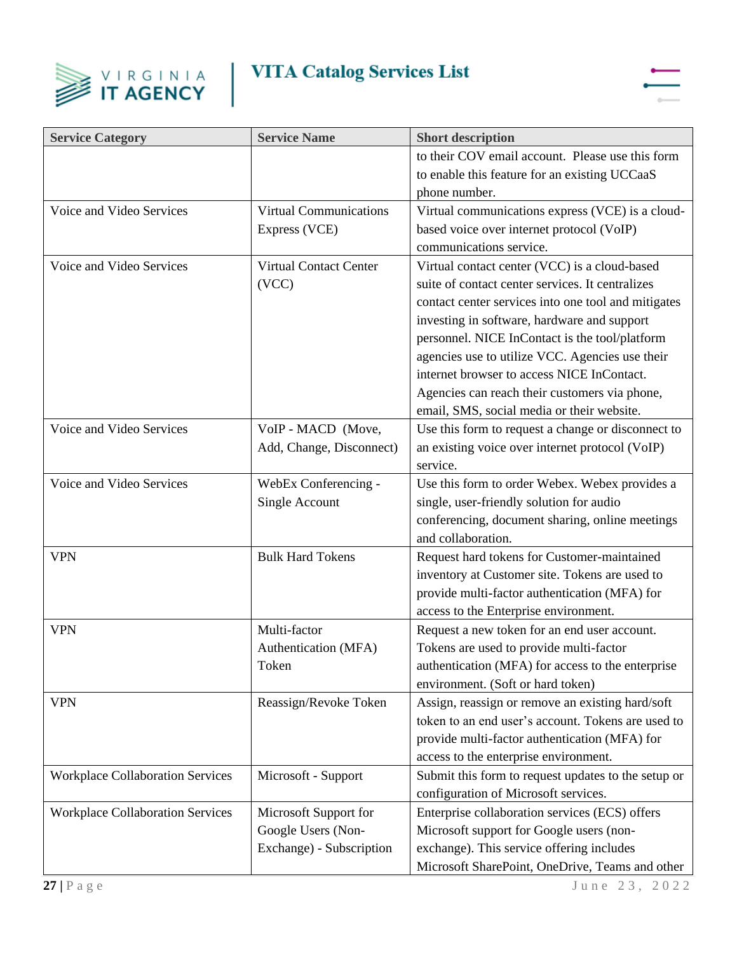



| <b>Service Category</b>                 | <b>Service Name</b>           | <b>Short description</b>                            |
|-----------------------------------------|-------------------------------|-----------------------------------------------------|
|                                         |                               | to their COV email account. Please use this form    |
|                                         |                               | to enable this feature for an existing UCCaaS       |
|                                         |                               | phone number.                                       |
| Voice and Video Services                | <b>Virtual Communications</b> | Virtual communications express (VCE) is a cloud-    |
|                                         | Express (VCE)                 | based voice over internet protocol (VoIP)           |
|                                         |                               | communications service.                             |
| Voice and Video Services                | Virtual Contact Center        | Virtual contact center (VCC) is a cloud-based       |
|                                         | (VCC)                         | suite of contact center services. It centralizes    |
|                                         |                               | contact center services into one tool and mitigates |
|                                         |                               | investing in software, hardware and support         |
|                                         |                               | personnel. NICE InContact is the tool/platform      |
|                                         |                               | agencies use to utilize VCC. Agencies use their     |
|                                         |                               | internet browser to access NICE InContact.          |
|                                         |                               | Agencies can reach their customers via phone,       |
|                                         |                               | email, SMS, social media or their website.          |
| Voice and Video Services                | VoIP - MACD (Move,            | Use this form to request a change or disconnect to  |
|                                         | Add, Change, Disconnect)      | an existing voice over internet protocol (VoIP)     |
|                                         |                               | service.                                            |
| Voice and Video Services                | WebEx Conferencing -          | Use this form to order Webex. Webex provides a      |
|                                         | Single Account                | single, user-friendly solution for audio            |
|                                         |                               | conferencing, document sharing, online meetings     |
|                                         |                               | and collaboration.                                  |
| <b>VPN</b>                              | <b>Bulk Hard Tokens</b>       | Request hard tokens for Customer-maintained         |
|                                         |                               | inventory at Customer site. Tokens are used to      |
|                                         |                               | provide multi-factor authentication (MFA) for       |
|                                         |                               | access to the Enterprise environment.               |
| <b>VPN</b>                              | Multi-factor                  | Request a new token for an end user account.        |
|                                         | Authentication (MFA)          | Tokens are used to provide multi-factor             |
|                                         | Token                         | authentication (MFA) for access to the enterprise   |
|                                         |                               | environment. (Soft or hard token)                   |
| <b>VPN</b>                              | Reassign/Revoke Token         | Assign, reassign or remove an existing hard/soft    |
|                                         |                               | token to an end user's account. Tokens are used to  |
|                                         |                               | provide multi-factor authentication (MFA) for       |
|                                         |                               | access to the enterprise environment.               |
| <b>Workplace Collaboration Services</b> | Microsoft - Support           | Submit this form to request updates to the setup or |
|                                         |                               | configuration of Microsoft services.                |
| <b>Workplace Collaboration Services</b> | Microsoft Support for         | Enterprise collaboration services (ECS) offers      |
|                                         | Google Users (Non-            | Microsoft support for Google users (non-            |
|                                         | Exchange) - Subscription      | exchange). This service offering includes           |
|                                         |                               | Microsoft SharePoint, OneDrive, Teams and other     |